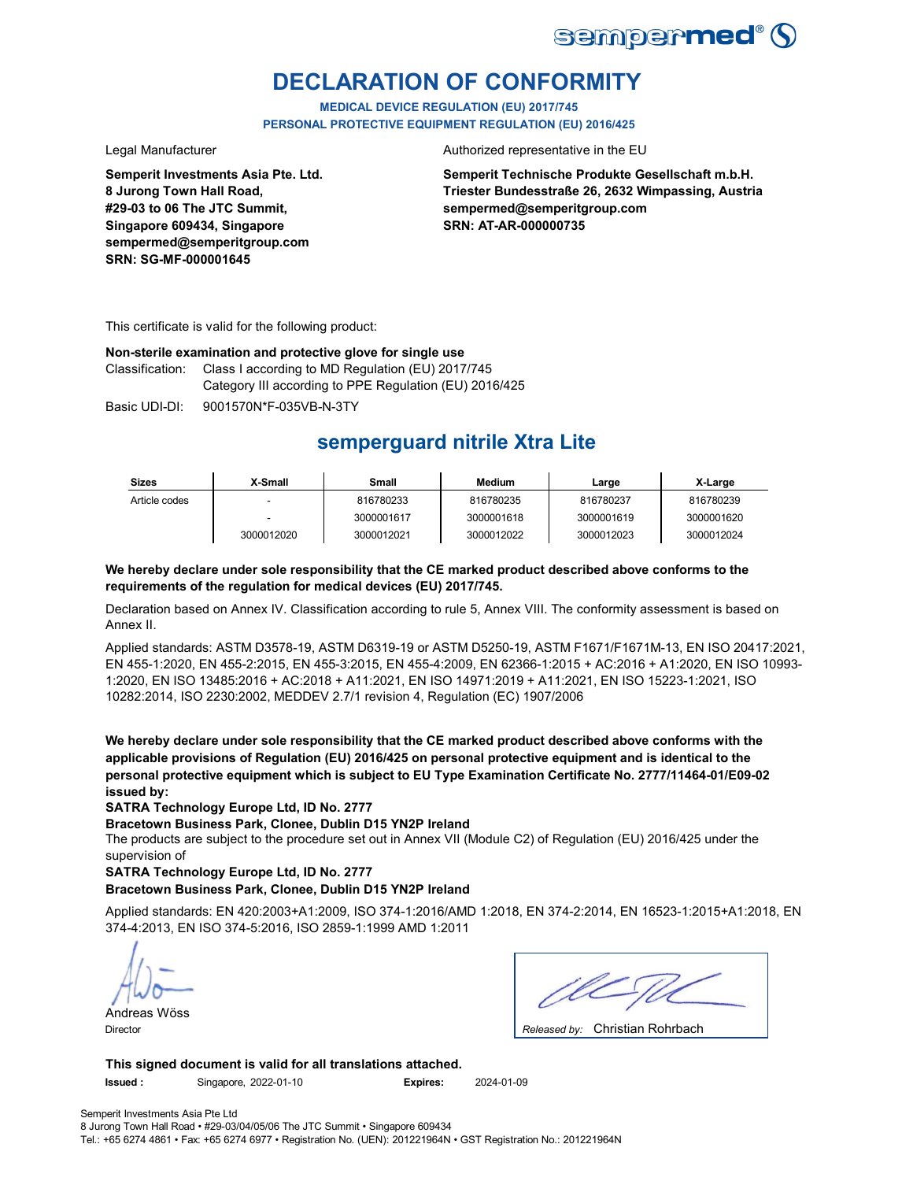

# **DECLARATION OF CONFORMITY**

**MEDICAL DEVICE REGULATION (EU) 2017/745 PERSONAL PROTECTIVE EQUIPMENT REGULATION (EU) 2016/425**

**Semperit Investments Asia Pte. Ltd. 8 Jurong Town Hall Road, #29-03 to 06 The JTC Summit, Singapore 609434, Singapore sempermed@semperitgroup.com SRN: SG-MF-000001645**

Legal Manufacturer **Authorized representative in the EU** 

**Semperit Technische Produkte Gesellschaft m.b.H. Triester Bundesstraße 26, 2632 Wimpassing, Austria sempermed@semperitgroup.com SRN: AT-AR-000000735**

This certificate is valid for the following product:

### **Non-sterile examination and protective glove for single use**

Class I according to MD Regulation (EU) 2017/745 Category III according to PPE Regulation (EU) 2016/425 Classification:

Basic UDI-DI: 9001570N\*F-035VB-N-3TY

# **semperguard nitrile Xtra Lite**

| <b>Sizes</b>  | X-Small    | Small      | <b>Medium</b> | Large      | X-Large    |
|---------------|------------|------------|---------------|------------|------------|
| Article codes |            | 816780233  | 816780235     | 816780237  | 816780239  |
|               |            | 3000001617 | 3000001618    | 3000001619 | 3000001620 |
|               | 3000012020 | 3000012021 | 3000012022    | 3000012023 | 3000012024 |

### **We hereby declare under sole responsibility that the CE marked product described above conforms to the requirements of the regulation for medical devices (EU) 2017/745.**

Declaration based on Annex IV. Classification according to rule 5, Annex VIII. The conformity assessment is based on Annex II.

Applied standards: ASTM D3578-19, ASTM D6319-19 or ASTM D5250-19, ASTM F1671/F1671M-13, EN ISO 20417:2021, EN 455-1:2020, EN 455-2:2015, EN 455-3:2015, EN 455-4:2009, EN 62366-1:2015 + AC:2016 + A1:2020, EN ISO 10993- 1:2020, EN ISO 13485:2016 + AC:2018 + A11:2021, EN ISO 14971:2019 + A11:2021, EN ISO 15223-1:2021, ISO 10282:2014, ISO 2230:2002, MEDDEV 2.7/1 revision 4, Regulation (EC) 1907/2006

**We hereby declare under sole responsibility that the CE marked product described above conforms with the applicable provisions of Regulation (EU) 2016/425 on personal protective equipment and is identical to the personal protective equipment which is subject to EU Type Examination Certificate No. 2777/11464-01/E09-02 issued by:**

**SATRA Technology Europe Ltd, ID No. 2777**

**Bracetown Business Park, Clonee, Dublin D15 YN2P Ireland**

The products are subject to the procedure set out in Annex VII (Module C2) of Regulation (EU) 2016/425 under the supervision of

**SATRA Technology Europe Ltd, ID No. 2777**

### **Bracetown Business Park, Clonee, Dublin D15 YN2P Ireland**

Applied standards: EN 420:2003+A1:2009, ISO 374-1:2016/AMD 1:2018, EN 374-2:2014, EN 16523-1:2015+A1:2018, EN 374-4:2013, EN ISO 374-5:2016, ISO 2859-1:1999 AMD 1:2011

Andreas Wöss

Christian Rohrbach Director *Released by:* 

**This signed document is valid for all translations attached. Issued :** Singapore, 2022-01-10 **Expires:** 2024-01-09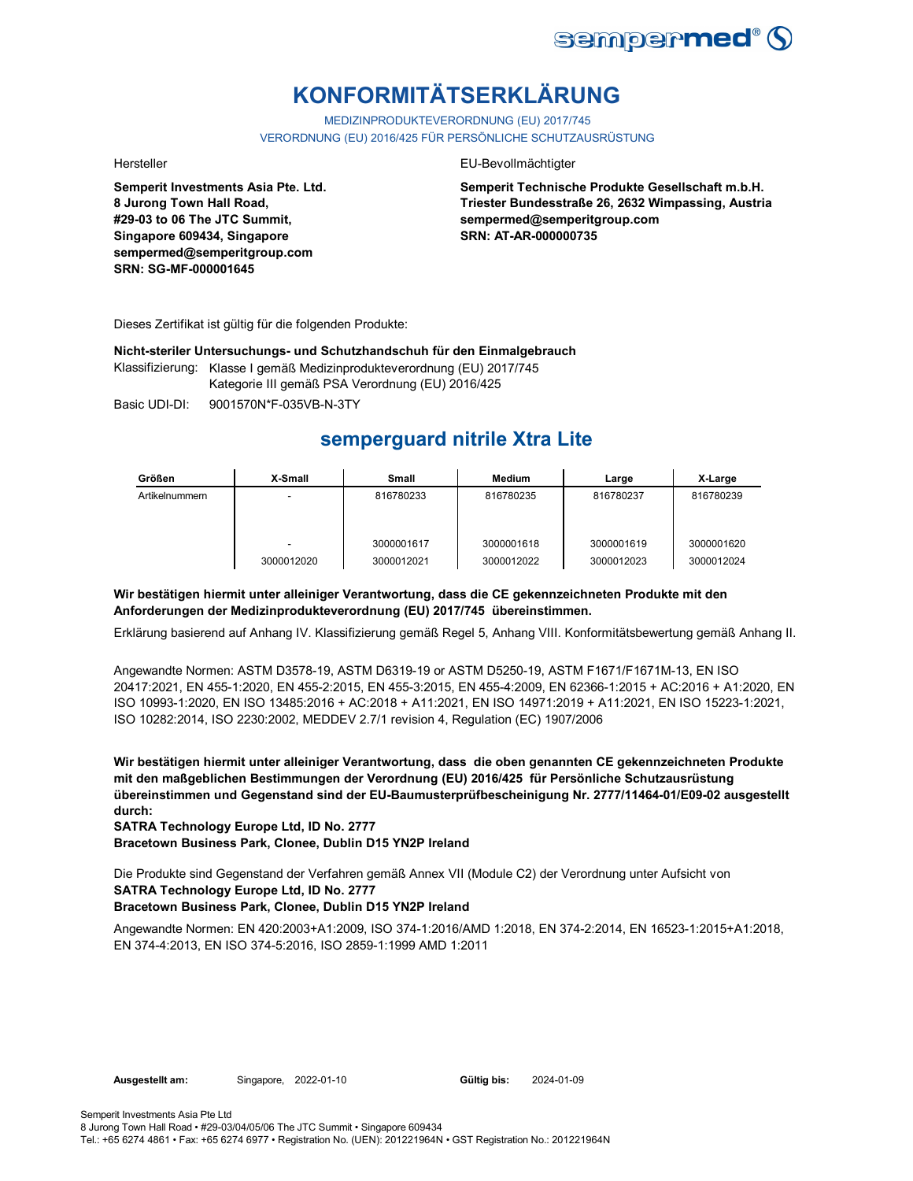

# **KONFORMITÄTSERKLÄRUNG**

MEDIZINPRODUKTEVERORDNUNG (EU) 2017/745 VERORDNUNG (EU) 2016/425 FÜR PERSÖNLICHE SCHUTZAUSRÜSTUNG

**Semperit Investments Asia Pte. Ltd. 8 Jurong Town Hall Road, #29-03 to 06 The JTC Summit, Singapore 609434, Singapore sempermed@semperitgroup.com SRN: SG-MF-000001645**

#### Hersteller EU-Bevollmächtigter

**Semperit Technische Produkte Gesellschaft m.b.H. Triester Bundesstraße 26, 2632 Wimpassing, Austria sempermed@semperitgroup.com SRN: AT-AR-000000735**

Dieses Zertifikat ist gültig für die folgenden Produkte:

**Nicht-steriler Untersuchungs- und Schutzhandschuh für den Einmalgebrauch**

Klassifizierung: Klasse I gemäß Medizinprodukteverordnung (EU) 2017/745 Kategorie III gemäß PSA Verordnung (EU) 2016/425

Basic UDI-DI: 9001570N\*F-035VB-N-3TY 9001570N\*F-035VB-N-

# **semperguard nitrile Xtra Lite**

| Größen         | X-Small                  | <b>Small</b> | <b>Medium</b> | Large      | X-Large    |
|----------------|--------------------------|--------------|---------------|------------|------------|
| Artikelnummern | $\overline{\phantom{a}}$ | 816780233    | 816780235     | 816780237  | 816780239  |
|                |                          |              |               |            |            |
|                |                          |              |               |            |            |
|                | ۰                        | 3000001617   | 3000001618    | 3000001619 | 3000001620 |
|                | 3000012020               | 3000012021   | 3000012022    | 3000012023 | 3000012024 |

### **Wir bestätigen hiermit unter alleiniger Verantwortung, dass die CE gekennzeichneten Produkte mit den Anforderungen der Medizinprodukteverordnung (EU) 2017/745 übereinstimmen.**

Erklärung basierend auf Anhang IV. Klassifizierung gemäß Regel 5, Anhang VIII. Konformitätsbewertung gemäß Anhang II.

Angewandte Normen: ASTM D3578-19, ASTM D6319-19 or ASTM D5250-19, ASTM F1671/F1671M-13, EN ISO 20417:2021, EN 455-1:2020, EN 455-2:2015, EN 455-3:2015, EN 455-4:2009, EN 62366-1:2015 + AC:2016 + A1:2020, EN ISO 10993-1:2020, EN ISO 13485:2016 + AC:2018 + A11:2021, EN ISO 14971:2019 + A11:2021, EN ISO 15223-1:2021, ISO 10282:2014, ISO 2230:2002, MEDDEV 2.7/1 revision 4, Regulation (EC) 1907/2006

**Wir bestätigen hiermit unter alleiniger Verantwortung, dass die oben genannten CE gekennzeichneten Produkte mit den maßgeblichen Bestimmungen der Verordnung (EU) 2016/425 für Persönliche Schutzausrüstung übereinstimmen und Gegenstand sind der EU-Baumusterprüfbescheinigung Nr. 2777/11464-01/E09-02 ausgestellt durch:**

**SATRA Technology Europe Ltd, ID No. 2777**

**Bracetown Business Park, Clonee, Dublin D15 YN2P Ireland**

Die Produkte sind Gegenstand der Verfahren gemäß Annex VII (Module C2) der Verordnung unter Aufsicht von **SATRA Technology Europe Ltd, ID No. 2777**

### **Bracetown Business Park, Clonee, Dublin D15 YN2P Ireland**

Angewandte Normen: EN 420:2003+A1:2009, ISO 374-1:2016/AMD 1:2018, EN 374-2:2014, EN 16523-1:2015+A1:2018, EN 374-4:2013, EN ISO 374-5:2016, ISO 2859-1:1999 AMD 1:2011

Gültig bis: 2024-01-09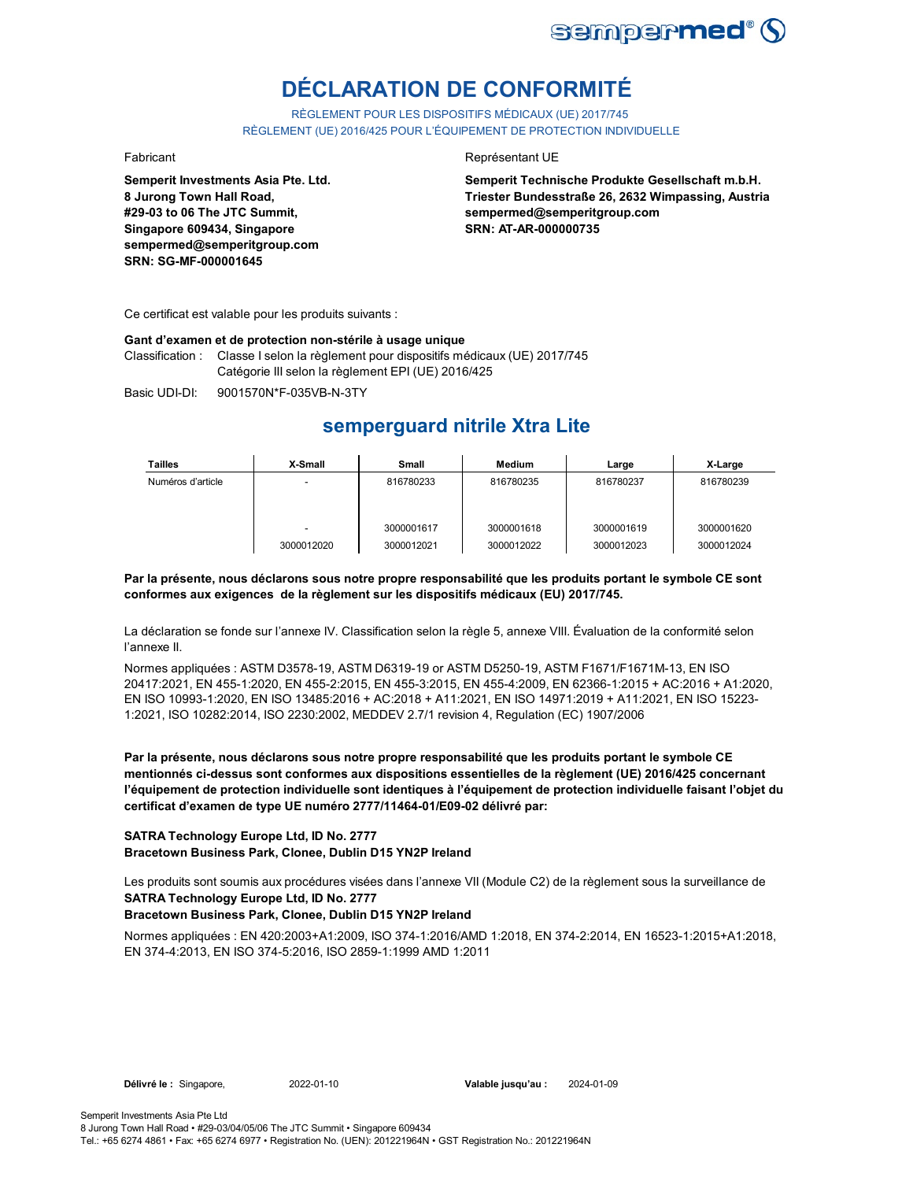

# **DÉCLARATION DE CONFORMITÉ**

RÈGLEMENT POUR LES DISPOSITIFS MÉDICAUX (UE) 2017/745 RÈGLEMENT (UE) 2016/425 POUR L'ÉQUIPEMENT DE PROTECTION INDIVIDUELLE

**Semperit Investments Asia Pte. Ltd. 8 Jurong Town Hall Road, #29-03 to 06 The JTC Summit, Singapore 609434, Singapore sempermed@semperitgroup.com SRN: SG-MF-000001645**

#### Fabricant **Executes Représentant UE**

**Semperit Technische Produkte Gesellschaft m.b.H. Triester Bundesstraße 26, 2632 Wimpassing, Austria sempermed@semperitgroup.com SRN: AT-AR-000000735**

Ce certificat est valable pour les produits suivants :

#### **Gant d'examen et de protection non-stérile à usage unique**

Classification : Classe I selon la règlement pour dispositifs médicaux (UE) 2017/745 Catégorie III selon la règlement EPI (UE) 2016/425

Basic UDI-DI: 9001570N\*F-035VB-N-3TY

## **semperguard nitrile Xtra Lite**

| <b>Tailles</b>    | X-Small                  | Small                    | Medium                   | Large                    | X-Large                  |
|-------------------|--------------------------|--------------------------|--------------------------|--------------------------|--------------------------|
| Numéros d'article | $\overline{\phantom{0}}$ | 816780233                | 816780235                | 816780237                | 816780239                |
|                   | 3000012020               | 3000001617<br>3000012021 | 3000001618<br>3000012022 | 3000001619<br>3000012023 | 3000001620<br>3000012024 |

**Par la présente, nous déclarons sous notre propre responsabilité que les produits portant le symbole CE sont conformes aux exigences de la règlement sur les dispositifs médicaux (EU) 2017/745.**

La déclaration se fonde sur l'annexe IV. Classification selon la règle 5, annexe VIII. Évaluation de la conformité selon l'annexe II.

Normes appliquées : ASTM D3578-19, ASTM D6319-19 or ASTM D5250-19, ASTM F1671/F1671M-13, EN ISO 20417:2021, EN 455-1:2020, EN 455-2:2015, EN 455-3:2015, EN 455-4:2009, EN 62366-1:2015 + AC:2016 + A1:2020, EN ISO 10993-1:2020, EN ISO 13485:2016 + AC:2018 + A11:2021, EN ISO 14971:2019 + A11:2021, EN ISO 15223- 1:2021, ISO 10282:2014, ISO 2230:2002, MEDDEV 2.7/1 revision 4, Regulation (EC) 1907/2006

**Par la présente, nous déclarons sous notre propre responsabilité que les produits portant le symbole CE mentionnés ci-dessus sont conformes aux dispositions essentielles de la règlement (UE) 2016/425 concernant l'équipement de protection individuelle sont identiques à l'équipement de protection individuelle faisant l'objet du certificat d'examen de type UE numéro 2777/11464-01/E09-02 délivré par:**

#### **SATRA Technology Europe Ltd, ID No. 2777 Bracetown Business Park, Clonee, Dublin D15 YN2P Ireland**

Les produits sont soumis aux procédures visées dans l'annexe VII (Module C2) de la règlement sous la surveillance de **SATRA Technology Europe Ltd, ID No. 2777**

#### **Bracetown Business Park, Clonee, Dublin D15 YN2P Ireland**

Normes appliquées : EN 420:2003+A1:2009, ISO 374-1:2016/AMD 1:2018, EN 374-2:2014, EN 16523-1:2015+A1:2018, EN 374-4:2013, EN ISO 374-5:2016, ISO 2859-1:1999 AMD 1:2011

Semperit Investments Asia Pte Ltd 8 Jurong Town Hall Road • #29-03/04/05/06 The JTC Summit • Singapore 609434 Tel.: +65 6274 4861 • Fax: +65 6274 6977 • Registration No. (UEN): 201221964N • GST Registration No.: 201221964N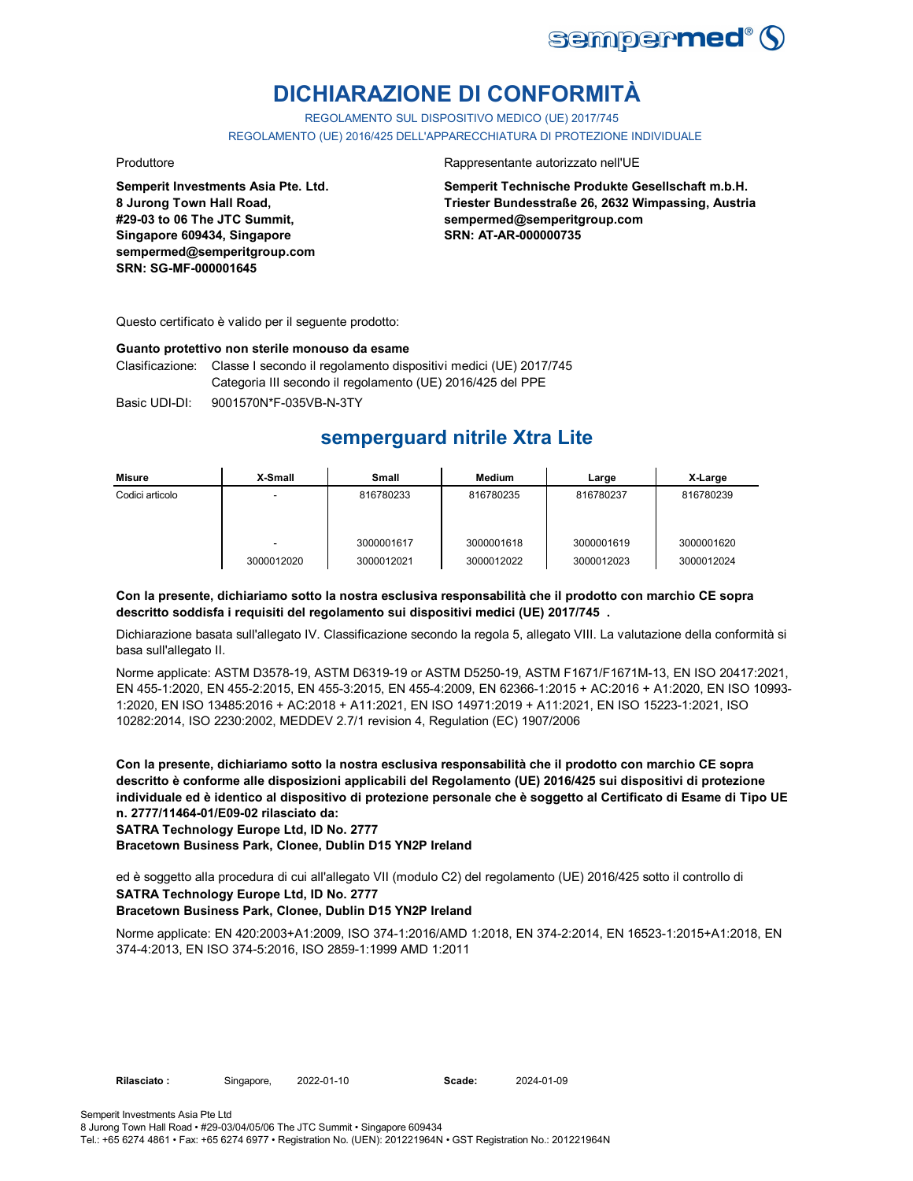

# **DICHIARAZIONE DI CONFORMITÀ**

REGOLAMENTO SUL DISPOSITIVO MEDICO (UE) 2017/745 REGOLAMENTO (UE) 2016/425 DELL'APPARECCHIATURA DI PROTEZIONE INDIVIDUALE

**Semperit Investments Asia Pte. Ltd. 8 Jurong Town Hall Road, #29-03 to 06 The JTC Summit, Singapore 609434, Singapore sempermed@semperitgroup.com SRN: SG-MF-000001645**

#### Produttore Rappresentante autorizzato nell'UE

**Semperit Technische Produkte Gesellschaft m.b.H. Triester Bundesstraße 26, 2632 Wimpassing, Austria sempermed@semperitgroup.com SRN: AT-AR-000000735**

Questo certificato è valido per il seguente prodotto:

#### **Guanto protettivo non sterile monouso da esame**

Clasificazione: Classe I secondo il regolamento dispositivi medici (UE) 2017/745 Categoria III secondo il regolamento (UE) 2016/425 del PPE

Basic UDI-DI: 9001570N\*F-035VB-N-3TY

## **semperguard nitrile Xtra Lite**

| Misure          | X-Small                  | Small      | Medium     | Large      | X-Large    |
|-----------------|--------------------------|------------|------------|------------|------------|
| Codici articolo | $\overline{\phantom{a}}$ | 816780233  | 816780235  | 816780237  | 816780239  |
|                 | $\overline{\phantom{a}}$ | 3000001617 | 3000001618 | 3000001619 | 3000001620 |
|                 | 3000012020               | 3000012021 | 3000012022 | 3000012023 | 3000012024 |

#### **Con la presente, dichiariamo sotto la nostra esclusiva responsabilità che il prodotto con marchio CE sopra descritto soddisfa i requisiti del regolamento sui dispositivi medici (UE) 2017/745 .**

Dichiarazione basata sull'allegato IV. Classificazione secondo la regola 5, allegato VIII. La valutazione della conformità si basa sull'allegato II.

Norme applicate: ASTM D3578-19, ASTM D6319-19 or ASTM D5250-19, ASTM F1671/F1671M-13, EN ISO 20417:2021, EN 455-1:2020, EN 455-2:2015, EN 455-3:2015, EN 455-4:2009, EN 62366-1:2015 + AC:2016 + A1:2020, EN ISO 10993- 1:2020, EN ISO 13485:2016 + AC:2018 + A11:2021, EN ISO 14971:2019 + A11:2021, EN ISO 15223-1:2021, ISO 10282:2014, ISO 2230:2002, MEDDEV 2.7/1 revision 4, Regulation (EC) 1907/2006

**Con la presente, dichiariamo sotto la nostra esclusiva responsabilità che il prodotto con marchio CE sopra descritto è conforme alle disposizioni applicabili del Regolamento (UE) 2016/425 sui dispositivi di protezione individuale ed è identico al dispositivo di protezione personale che è soggetto al Certificato di Esame di Tipo UE n. 2777/11464-01/E09-02 rilasciato da:**

**SATRA Technology Europe Ltd, ID No. 2777**

**Bracetown Business Park, Clonee, Dublin D15 YN2P Ireland**

ed è soggetto alla procedura di cui all'allegato VII (modulo C2) del regolamento (UE) 2016/425 sotto il controllo di **SATRA Technology Europe Ltd, ID No. 2777**

### **Bracetown Business Park, Clonee, Dublin D15 YN2P Ireland**

Norme applicate: EN 420:2003+A1:2009, ISO 374-1:2016/AMD 1:2018, EN 374-2:2014, EN 16523-1:2015+A1:2018, EN 374-4:2013, EN ISO 374-5:2016, ISO 2859-1:1999 AMD 1:2011

2022-01-10 2024-01-09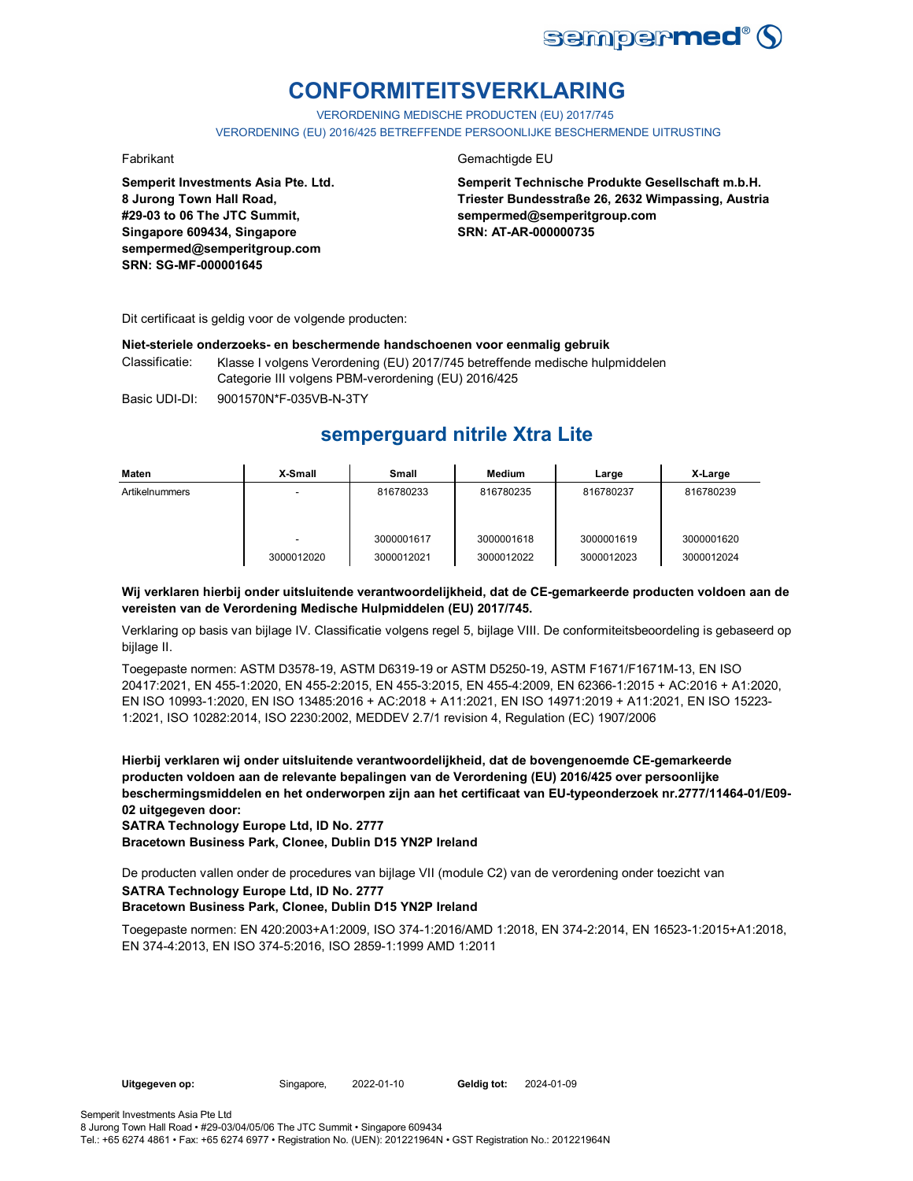

# **CONFORMITEITSVERKLARING**

VERORDENING MEDISCHE PRODUCTEN (EU) 2017/745

VERORDENING (EU) 2016/425 BETREFFENDE PERSOONLIJKE BESCHERMENDE UITRUSTING

**Semperit Investments Asia Pte. Ltd. 8 Jurong Town Hall Road, #29-03 to 06 The JTC Summit, Singapore 609434, Singapore sempermed@semperitgroup.com SRN: SG-MF-000001645**

#### Fabrikant Gemachtigde EU

**Semperit Technische Produkte Gesellschaft m.b.H. Triester Bundesstraße 26, 2632 Wimpassing, Austria sempermed@semperitgroup.com SRN: AT-AR-000000735**

Dit certificaat is geldig voor de volgende producten:

#### **Niet-steriele onderzoeks- en beschermende handschoenen voor eenmalig gebruik**

Classificatie: Klasse I volgens Verordening (EU) 2017/745 betreffende medische hulpmiddelen Categorie III volgens PBM-verordening (EU) 2016/425

Basic UDI-DI: 9001570N\*F-035VB-N-3TY

## **semperguard nitrile Xtra Lite**

| Maten          | X-Small                  | Small      | Medium     | Large      | X-Large    |
|----------------|--------------------------|------------|------------|------------|------------|
| Artikelnummers |                          | 816780233  | 816780235  | 816780237  | 816780239  |
|                | $\overline{\phantom{a}}$ | 3000001617 | 3000001618 | 3000001619 | 3000001620 |
|                | 3000012020               | 3000012021 | 3000012022 | 3000012023 | 3000012024 |

### **Wij verklaren hierbij onder uitsluitende verantwoordelijkheid, dat de CE-gemarkeerde producten voldoen aan de vereisten van de Verordening Medische Hulpmiddelen (EU) 2017/745.**

Verklaring op basis van bijlage IV. Classificatie volgens regel 5, bijlage VIII. De conformiteitsbeoordeling is gebaseerd op bijlage II.

Toegepaste normen: ASTM D3578-19, ASTM D6319-19 or ASTM D5250-19, ASTM F1671/F1671M-13, EN ISO 20417:2021, EN 455-1:2020, EN 455-2:2015, EN 455-3:2015, EN 455-4:2009, EN 62366-1:2015 + AC:2016 + A1:2020, EN ISO 10993-1:2020, EN ISO 13485:2016 + AC:2018 + A11:2021, EN ISO 14971:2019 + A11:2021, EN ISO 15223- 1:2021, ISO 10282:2014, ISO 2230:2002, MEDDEV 2.7/1 revision 4, Regulation (EC) 1907/2006

**Hierbij verklaren wij onder uitsluitende verantwoordelijkheid, dat de bovengenoemde CE-gemarkeerde producten voldoen aan de relevante bepalingen van de Verordening (EU) 2016/425 over persoonlijke beschermingsmiddelen en het onderworpen zijn aan het certificaat van EU-typeonderzoek nr.2777/11464-01/E09- 02 uitgegeven door:**

**SATRA Technology Europe Ltd, ID No. 2777**

**Bracetown Business Park, Clonee, Dublin D15 YN2P Ireland**

De producten vallen onder de procedures van bijlage VII (module C2) van de verordening onder toezicht van **SATRA Technology Europe Ltd, ID No. 2777**

### **Bracetown Business Park, Clonee, Dublin D15 YN2P Ireland**

Toegepaste normen: EN 420:2003+A1:2009, ISO 374-1:2016/AMD 1:2018, EN 374-2:2014, EN 16523-1:2015+A1:2018, EN 374-4:2013, EN ISO 374-5:2016, ISO 2859-1:1999 AMD 1:2011

Geldig tot: 2024-01-09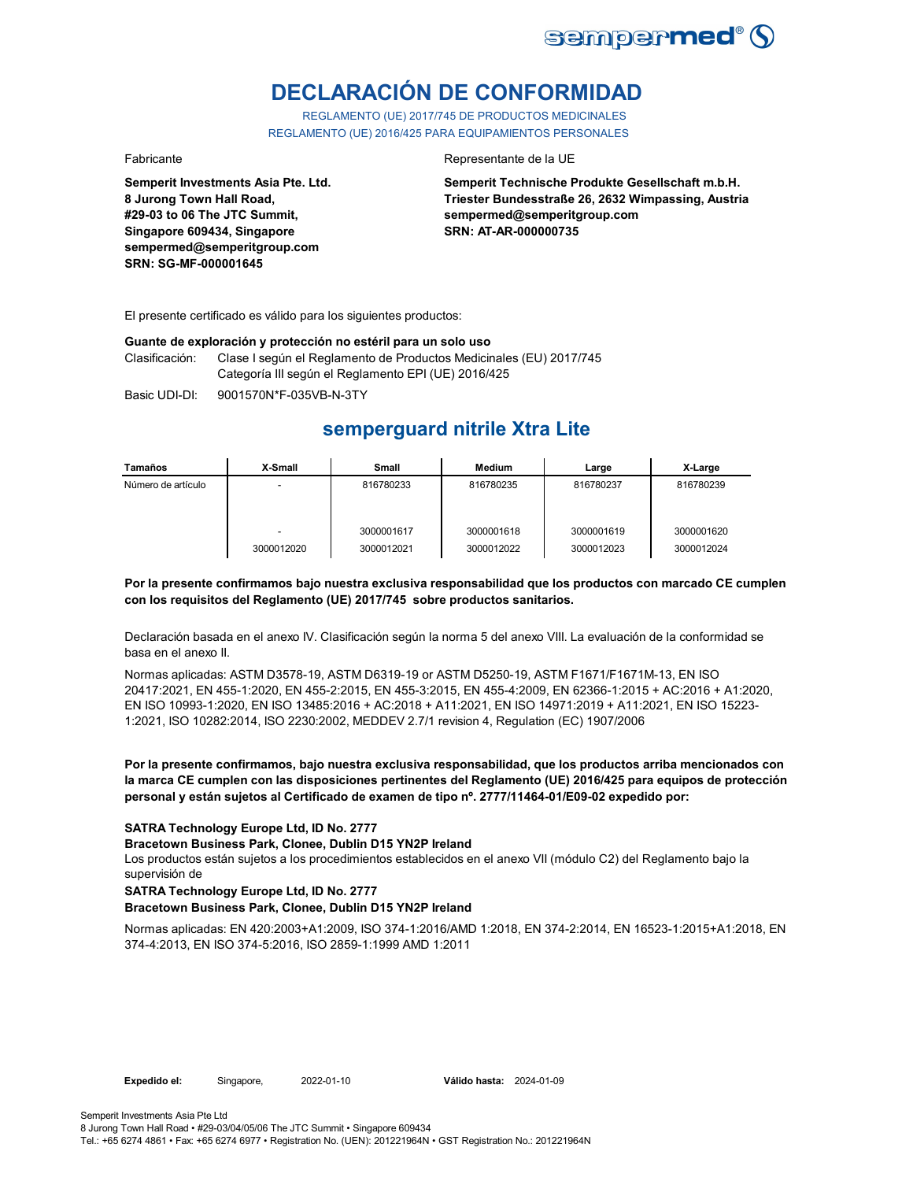

# **DECLARACIÓN DE CONFORMIDAD**

REGLAMENTO (UE) 2017/745 DE PRODUCTOS MEDICINALES REGLAMENTO (UE) 2016/425 PARA EQUIPAMIENTOS PERSONALES

**Semperit Investments Asia Pte. Ltd. 8 Jurong Town Hall Road, #29-03 to 06 The JTC Summit, Singapore 609434, Singapore sempermed@semperitgroup.com SRN: SG-MF-000001645**

#### Fabricante de la UE estado e a contra el estado en el Representante de la UE

**Semperit Technische Produkte Gesellschaft m.b.H. Triester Bundesstraße 26, 2632 Wimpassing, Austria sempermed@semperitgroup.com SRN: AT-AR-000000735**

El presente certificado es válido para los siguientes productos:

#### **Guante de exploración y protección no estéril para un solo uso**

Clasificación: Clase I según el Reglamento de Productos Medicinales (EU) 2017/745 Categoría III según el Reglamento EPI (UE) 2016/425

Basic UDI-DI: 9001570N\*F-035VB-N-3TY 9001570N\*F-035VB-N-3T

## **semperguard nitrile Xtra Lite**

| Tamaños            | X-Small    | Small      | Medium     | Large      | X-Large    |
|--------------------|------------|------------|------------|------------|------------|
| Número de artículo |            | 816780233  | 816780235  | 816780237  | 816780239  |
|                    |            |            |            |            |            |
|                    |            |            |            |            |            |
|                    |            | 3000001617 | 3000001618 | 3000001619 | 3000001620 |
|                    | 3000012020 | 3000012021 | 3000012022 | 3000012023 | 3000012024 |

#### **Por la presente confirmamos bajo nuestra exclusiva responsabilidad que los productos con marcado CE cumplen con los requisitos del Reglamento (UE) 2017/745 sobre productos sanitarios.**

Declaración basada en el anexo IV. Clasificación según la norma 5 del anexo VIII. La evaluación de la conformidad se basa en el anexo II.

Normas aplicadas: ASTM D3578-19, ASTM D6319-19 or ASTM D5250-19, ASTM F1671/F1671M-13, EN ISO 20417:2021, EN 455-1:2020, EN 455-2:2015, EN 455-3:2015, EN 455-4:2009, EN 62366-1:2015 + AC:2016 + A1:2020, EN ISO 10993-1:2020, EN ISO 13485:2016 + AC:2018 + A11:2021, EN ISO 14971:2019 + A11:2021, EN ISO 15223- 1:2021, ISO 10282:2014, ISO 2230:2002, MEDDEV 2.7/1 revision 4, Regulation (EC) 1907/2006

**Por la presente confirmamos, bajo nuestra exclusiva responsabilidad, que los productos arriba mencionados con la marca CE cumplen con las disposiciones pertinentes del Reglamento (UE) 2016/425 para equipos de protección personal y están sujetos al Certificado de examen de tipo nº. 2777/11464-01/E09-02 expedido por:**

**SATRA Technology Europe Ltd, ID No. 2777**

**Bracetown Business Park, Clonee, Dublin D15 YN2P Ireland**

Los productos están sujetos a los procedimientos establecidos en el anexo VII (módulo C2) del Reglamento bajo la supervisión de

**SATRA Technology Europe Ltd, ID No. 2777**

**Bracetown Business Park, Clonee, Dublin D15 YN2P Ireland**

Normas aplicadas: EN 420:2003+A1:2009, ISO 374-1:2016/AMD 1:2018, EN 374-2:2014, EN 16523-1:2015+A1:2018, EN 374-4:2013, EN ISO 374-5:2016, ISO 2859-1:1999 AMD 1:2011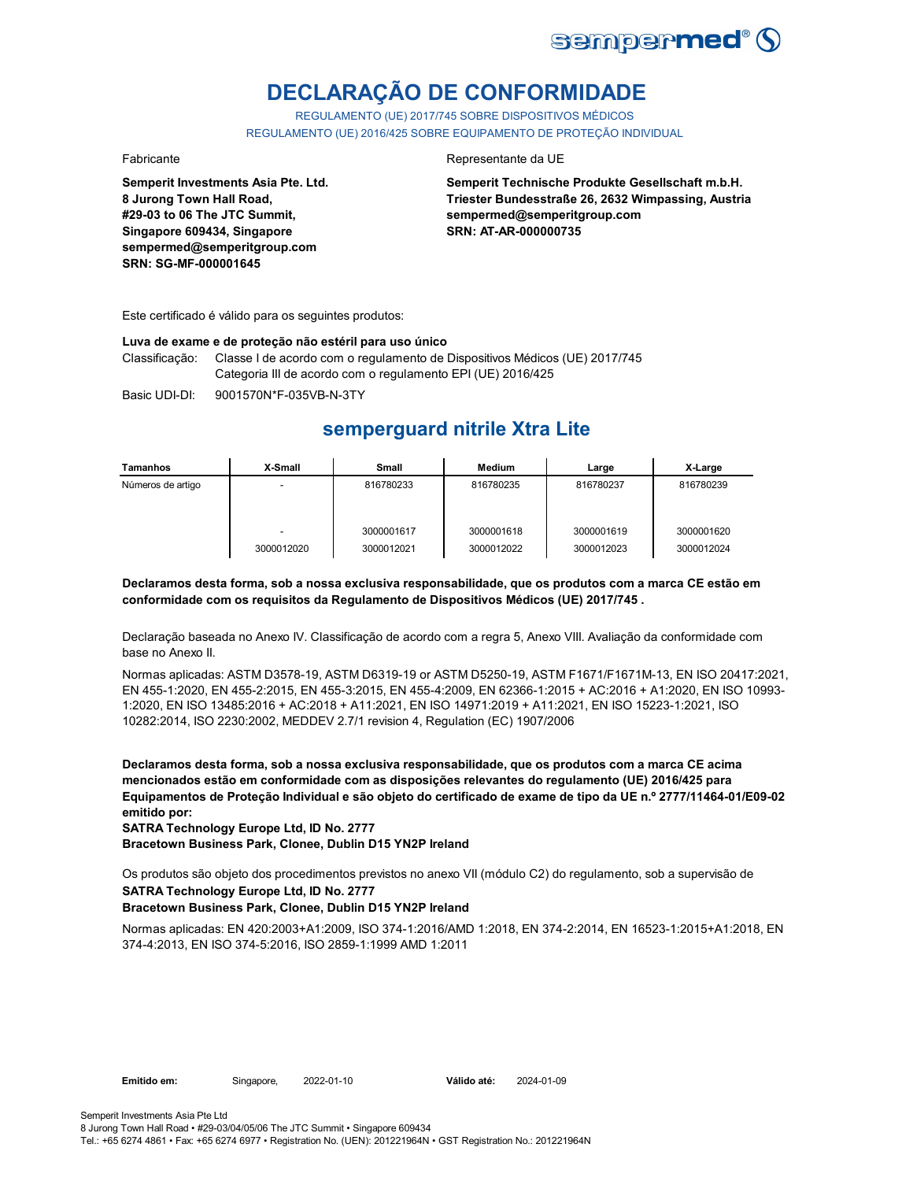

# **DECLARAÇÃO DE CONFORMIDADE**

REGULAMENTO (UE) 2017/745 SOBRE DISPOSITIVOS MÉDICOS REGULAMENTO (UE) 2016/425 SOBRE EQUIPAMENTO DE PROTEÇÃO INDIVIDUAL

**Semperit Investments Asia Pte. Ltd. 8 Jurong Town Hall Road, #29-03 to 06 The JTC Summit, Singapore 609434, Singapore sempermed@semperitgroup.com SRN: SG-MF-000001645**

#### Fabricante Representante da UE

**Semperit Technische Produkte Gesellschaft m.b.H. Triester Bundesstraße 26, 2632 Wimpassing, Austria sempermed@semperitgroup.com SRN: AT-AR-000000735**

Este certificado é válido para os seguintes produtos:

**Luva de exame e de proteção não estéril para uso único**

Classificação: Classe I de acordo com o regulamento de Dispositivos Médicos (UE) 2017/745 Categoria III de acordo com o regulamento EPI (UE) 2016/425

Basic UDI-DI: 9001570N\*F-035VB-N-3TY

## **semperguard nitrile Xtra Lite**

| <b>Tamanhos</b>   | X-Small    | Small                    | Medium                   | Large                    | X-Large                  |
|-------------------|------------|--------------------------|--------------------------|--------------------------|--------------------------|
| Números de artigo |            | 816780233                | 816780235                | 816780237                | 816780239                |
|                   | 3000012020 | 3000001617<br>3000012021 | 3000001618<br>3000012022 | 3000001619<br>3000012023 | 3000001620<br>3000012024 |

**Declaramos desta forma, sob a nossa exclusiva responsabilidade, que os produtos com a marca CE estão em conformidade com os requisitos da Regulamento de Dispositivos Médicos (UE) 2017/745 .**

Declaração baseada no Anexo IV. Classificação de acordo com a regra 5, Anexo VIII. Avaliação da conformidade com base no Anexo II.

Normas aplicadas: ASTM D3578-19, ASTM D6319-19 or ASTM D5250-19, ASTM F1671/F1671M-13, EN ISO 20417:2021, EN 455-1:2020, EN 455-2:2015, EN 455-3:2015, EN 455-4:2009, EN 62366-1:2015 + AC:2016 + A1:2020, EN ISO 10993- 1:2020, EN ISO 13485:2016 + AC:2018 + A11:2021, EN ISO 14971:2019 + A11:2021, EN ISO 15223-1:2021, ISO 10282:2014, ISO 2230:2002, MEDDEV 2.7/1 revision 4, Regulation (EC) 1907/2006

**Declaramos desta forma, sob a nossa exclusiva responsabilidade, que os produtos com a marca CE acima mencionados estão em conformidade com as disposições relevantes do regulamento (UE) 2016/425 para Equipamentos de Proteção Individual e são objeto do certificado de exame de tipo da UE n.º 2777/11464-01/E09-02 emitido por:**

**SATRA Technology Europe Ltd, ID No. 2777**

**Bracetown Business Park, Clonee, Dublin D15 YN2P Ireland**

Os produtos são objeto dos procedimentos previstos no anexo VII (módulo C2) do regulamento, sob a supervisão de

## **SATRA Technology Europe Ltd, ID No. 2777**

#### **Bracetown Business Park, Clonee, Dublin D15 YN2P Ireland**

Normas aplicadas: EN 420:2003+A1:2009, ISO 374-1:2016/AMD 1:2018, EN 374-2:2014, EN 16523-1:2015+A1:2018, EN 374-4:2013, EN ISO 374-5:2016, ISO 2859-1:1999 AMD 1:2011

8 Jurong Town Hall Road • #29-03/04/05/06 The JTC Summit • Singapore 609434 Tel.: +65 6274 4861 • Fax: +65 6274 6977 • Registration No. (UEN): 201221964N • GST Registration No.: 201221964N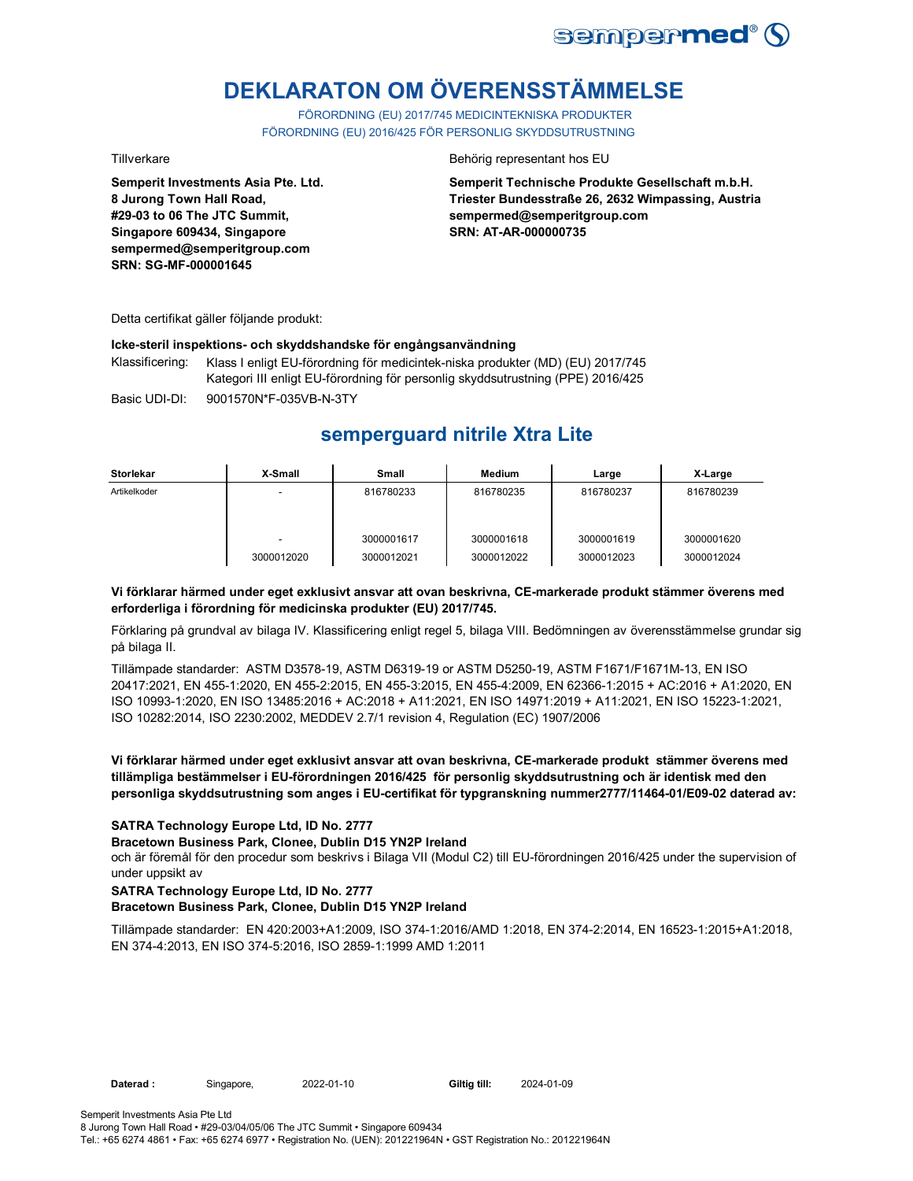

# **DEKLARATON OM ÖVERENSSTÄMMELSE**

FÖRORDNING (EU) 2017/745 MEDICINTEKNISKA PRODUKTER FÖRORDNING (EU) 2016/425 FÖR PERSONLIG SKYDDSUTRUSTNING

**Semperit Investments Asia Pte. Ltd. 8 Jurong Town Hall Road, #29-03 to 06 The JTC Summit, Singapore 609434, Singapore sempermed@semperitgroup.com SRN: SG-MF-000001645**

#### Tillverkare Behörig representant hos EU

**Semperit Technische Produkte Gesellschaft m.b.H. Triester Bundesstraße 26, 2632 Wimpassing, Austria sempermed@semperitgroup.com SRN: AT-AR-000000735**

Detta certifikat gäller följande produkt:

#### **Icke-steril inspektions- och skyddshandske för engångsanvändning**

Klassificering: Klass I enligt EU-förordning för medicintek-niska produkter (MD) (EU) 2017/745 Kategori III enligt EU-förordning för personlig skyddsutrustning (PPE) 2016/425

Basic UDI-DI: 9001570N\*F-035VB-N-3TY 9001570N\*F-035VB-N-3T

## **semperguard nitrile Xtra Lite**

| <b>Storlekar</b> | X-Small    | <b>Small</b>             | Medium                   | Large                    | X-Large                  |
|------------------|------------|--------------------------|--------------------------|--------------------------|--------------------------|
| Artikelkoder     |            | 816780233                | 816780235                | 816780237                | 816780239                |
|                  | 3000012020 | 3000001617<br>3000012021 | 3000001618<br>3000012022 | 3000001619<br>3000012023 | 3000001620<br>3000012024 |

#### **Vi förklarar härmed under eget exklusivt ansvar att ovan beskrivna, CE-markerade produkt stämmer överens med erforderliga i förordning för medicinska produkter (EU) 2017/745.**

Förklaring på grundval av bilaga IV. Klassificering enligt regel 5, bilaga VIII. Bedömningen av överensstämmelse grundar sig på bilaga II.

Tillämpade standarder: ASTM D3578-19, ASTM D6319-19 or ASTM D5250-19, ASTM F1671/F1671M-13, EN ISO 20417:2021, EN 455-1:2020, EN 455-2:2015, EN 455-3:2015, EN 455-4:2009, EN 62366-1:2015 + AC:2016 + A1:2020, EN ISO 10993-1:2020, EN ISO 13485:2016 + AC:2018 + A11:2021, EN ISO 14971:2019 + A11:2021, EN ISO 15223-1:2021, ISO 10282:2014, ISO 2230:2002, MEDDEV 2.7/1 revision 4, Regulation (EC) 1907/2006

#### **Vi förklarar härmed under eget exklusivt ansvar att ovan beskrivna, CE-markerade produkt stämmer överens med tillämpliga bestämmelser i EU-förordningen 2016/425 för personlig skyddsutrustning och är identisk med den personliga skyddsutrustning som anges i EU-certifikat för typgranskning nummer2777/11464-01/E09-02 daterad av:**

### **SATRA Technology Europe Ltd, ID No. 2777**

#### **Bracetown Business Park, Clonee, Dublin D15 YN2P Ireland**

och är föremål för den procedur som beskrivs i Bilaga VII (Modul C2) till EU-förordningen 2016/425 under the supervision of under uppsikt av

#### **SATRA Technology Europe Ltd, ID No. 2777**

### **Bracetown Business Park, Clonee, Dublin D15 YN2P Ireland**

Tillämpade standarder: EN 420:2003+A1:2009, ISO 374-1:2016/AMD 1:2018, EN 374-2:2014, EN 16523-1:2015+A1:2018, EN 374-4:2013, EN ISO 374-5:2016, ISO 2859-1:1999 AMD 1:2011

Giltig till: 2024-01-09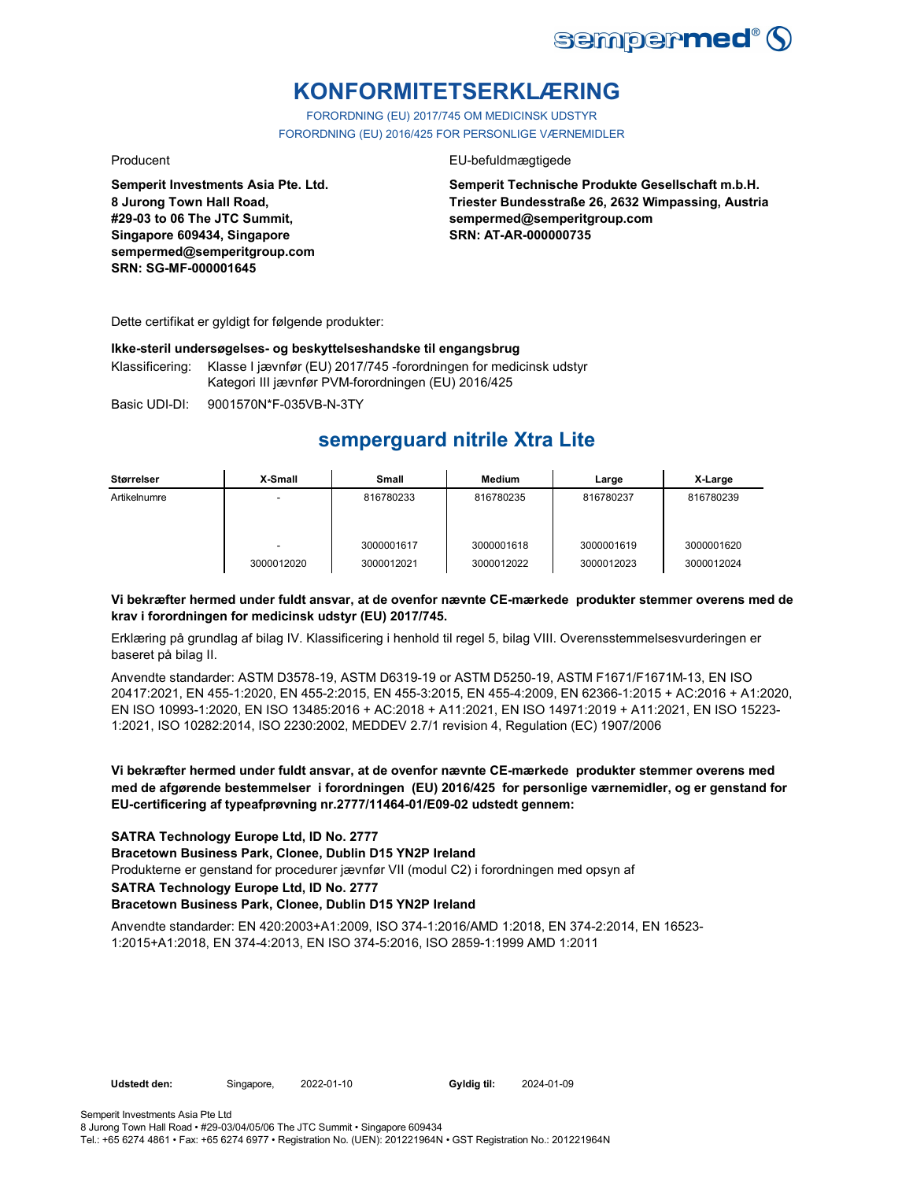

# **KONFORMITETSERKLÆRING**

FORORDNING (EU) 2017/745 OM MEDICINSK UDSTYR FORORDNING (EU) 2016/425 FOR PERSONLIGE VÆRNEMIDLER

**Semperit Investments Asia Pte. Ltd. 8 Jurong Town Hall Road, #29-03 to 06 The JTC Summit, Singapore 609434, Singapore sempermed@semperitgroup.com SRN: SG-MF-000001645**

#### Producent EU-befuldmægtigede

**Semperit Technische Produkte Gesellschaft m.b.H. Triester Bundesstraße 26, 2632 Wimpassing, Austria sempermed@semperitgroup.com SRN: AT-AR-000000735**

Dette certifikat er gyldigt for følgende produkter:

#### **Ikke-steril undersøgelses- og beskyttelseshandske til engangsbrug**

Klassificering: Klasse I jævnfør (EU) 2017/745 -forordningen for medicinsk udstyr Kategori III jævnfør PVM-forordningen (EU) 2016/425

Basic UDI-DI: 9001570N\*F-035VB-N-3TY

## **semperguard nitrile Xtra Lite**

| Størrelser   | X-Small    | <b>Small</b>             | <b>Medium</b>            | Large                    | X-Large                  |
|--------------|------------|--------------------------|--------------------------|--------------------------|--------------------------|
| Artikelnumre |            | 816780233                | 816780235                | 816780237                | 816780239                |
|              | 3000012020 | 3000001617<br>3000012021 | 3000001618<br>3000012022 | 3000001619<br>3000012023 | 3000001620<br>3000012024 |

### **Vi bekræfter hermed under fuldt ansvar, at de ovenfor nævnte CE-mærkede produkter stemmer overens med de krav i forordningen for medicinsk udstyr (EU) 2017/745.**

Erklæring på grundlag af bilag IV. Klassificering i henhold til regel 5, bilag VIII. Overensstemmelsesvurderingen er baseret på bilag II.

Anvendte standarder: ASTM D3578-19, ASTM D6319-19 or ASTM D5250-19, ASTM F1671/F1671M-13, EN ISO 20417:2021, EN 455-1:2020, EN 455-2:2015, EN 455-3:2015, EN 455-4:2009, EN 62366-1:2015 + AC:2016 + A1:2020, EN ISO 10993-1:2020, EN ISO 13485:2016 + AC:2018 + A11:2021, EN ISO 14971:2019 + A11:2021, EN ISO 15223- 1:2021, ISO 10282:2014, ISO 2230:2002, MEDDEV 2.7/1 revision 4, Regulation (EC) 1907/2006

**Vi bekræfter hermed under fuldt ansvar, at de ovenfor nævnte CE-mærkede produkter stemmer overens med med de afgørende bestemmelser i forordningen (EU) 2016/425 for personlige værnemidler, og er genstand for EU-certificering af typeafprøvning nr.2777/11464-01/E09-02 udstedt gennem:**

**SATRA Technology Europe Ltd, ID No. 2777**

**Bracetown Business Park, Clonee, Dublin D15 YN2P Ireland**

Produkterne er genstand for procedurer jævnfør VII (modul C2) i forordningen med opsyn af

**SATRA Technology Europe Ltd, ID No. 2777**

#### **Bracetown Business Park, Clonee, Dublin D15 YN2P Ireland**

Anvendte standarder: EN 420:2003+A1:2009, ISO 374-1:2016/AMD 1:2018, EN 374-2:2014, EN 16523- 1:2015+A1:2018, EN 374-4:2013, EN ISO 374-5:2016, ISO 2859-1:1999 AMD 1:2011

2024-01-09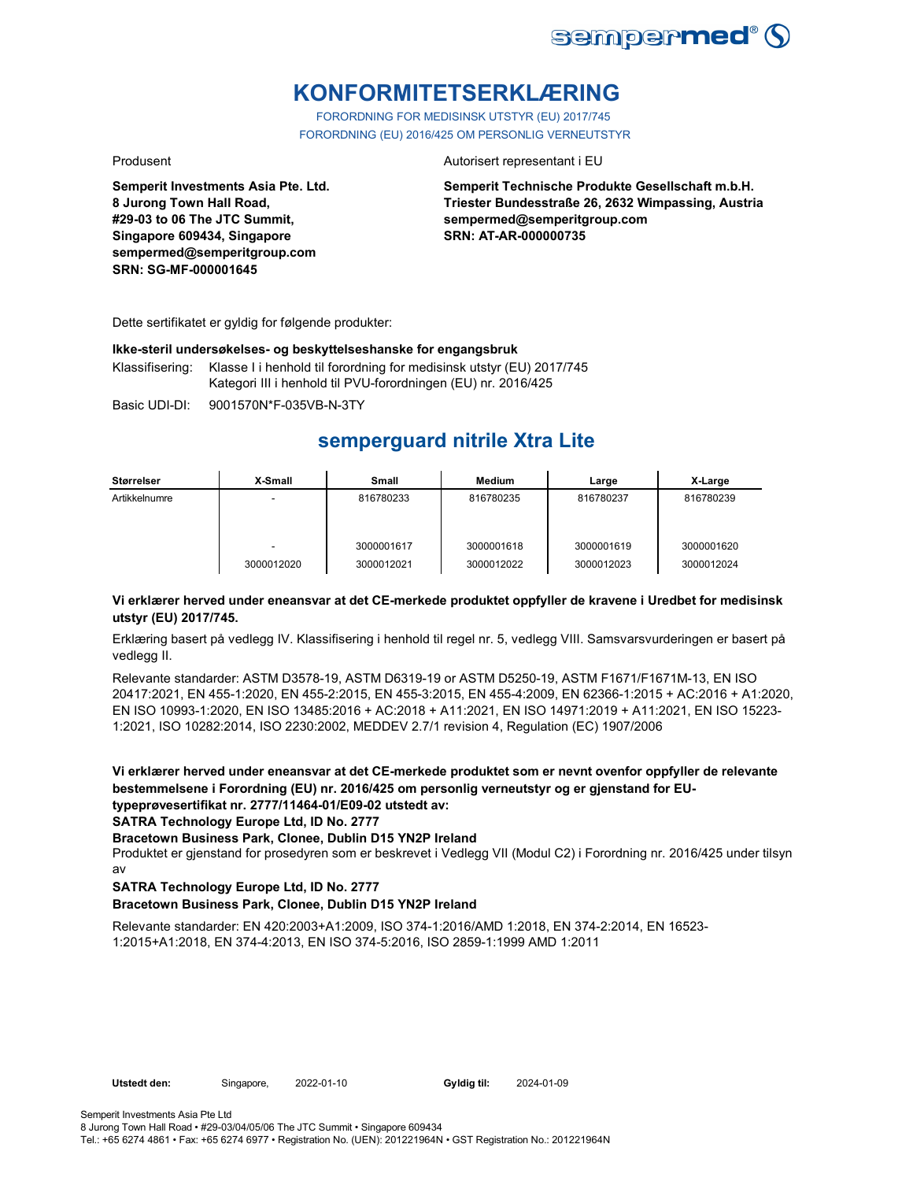

# **KONFORMITETSERKLÆRING**

FORORDNING FOR MEDISINSK UTSTYR (EU) 2017/745 FORORDNING (EU) 2016/425 OM PERSONLIG VERNEUTSTYR

**Semperit Investments Asia Pte. Ltd. 8 Jurong Town Hall Road, #29-03 to 06 The JTC Summit, Singapore 609434, Singapore sempermed@semperitgroup.com SRN: SG-MF-000001645**

#### Produsent **Autorisert representant i EU**

**Semperit Technische Produkte Gesellschaft m.b.H. Triester Bundesstraße 26, 2632 Wimpassing, Austria sempermed@semperitgroup.com SRN: AT-AR-000000735**

Dette sertifikatet er gyldig for følgende produkter:

#### **Ikke-steril undersøkelses- og beskyttelseshanske for engangsbruk**

Klassifisering: Klasse I i henhold til forordning for medisinsk utstyr (EU) 2017/745 Kategori III i henhold til PVU-forordningen (EU) nr. 2016/425

Basic UDI-DI: 9001570N\*F-035VB-N-3TY

## **semperguard nitrile Xtra Lite**

| Størrelser    | X-Small         | Small                    | Medium                   | Large                    | X-Large                  |
|---------------|-----------------|--------------------------|--------------------------|--------------------------|--------------------------|
| Artikkelnumre | -               | 816780233                | 816780235                | 816780237                | 816780239                |
|               | -<br>3000012020 | 3000001617<br>3000012021 | 3000001618<br>3000012022 | 3000001619<br>3000012023 | 3000001620<br>3000012024 |

#### **Vi erklærer herved under eneansvar at det CE-merkede produktet oppfyller de kravene i Uredbet for medisinsk utstyr (EU) 2017/745.**

Erklæring basert på vedlegg IV. Klassifisering i henhold til regel nr. 5, vedlegg VIII. Samsvarsvurderingen er basert på vedlegg II.

Relevante standarder: ASTM D3578-19, ASTM D6319-19 or ASTM D5250-19, ASTM F1671/F1671M-13, EN ISO 20417:2021, EN 455-1:2020, EN 455-2:2015, EN 455-3:2015, EN 455-4:2009, EN 62366-1:2015 + AC:2016 + A1:2020, EN ISO 10993-1:2020, EN ISO 13485:2016 + AC:2018 + A11:2021, EN ISO 14971:2019 + A11:2021, EN ISO 15223- 1:2021, ISO 10282:2014, ISO 2230:2002, MEDDEV 2.7/1 revision 4, Regulation (EC) 1907/2006

**Vi erklærer herved under eneansvar at det CE-merkede produktet som er nevnt ovenfor oppfyller de relevante bestemmelsene i Forordning (EU) nr. 2016/425 om personlig verneutstyr og er gjenstand for EUtypeprøvesertifikat nr. 2777/11464-01/E09-02 utstedt av:**

**SATRA Technology Europe Ltd, ID No. 2777**

#### **Bracetown Business Park, Clonee, Dublin D15 YN2P Ireland**

Produktet er gjenstand for prosedyren som er beskrevet i Vedlegg VII (Modul C2) i Forordning nr. 2016/425 under tilsyn av

#### **SATRA Technology Europe Ltd, ID No. 2777**

#### **Bracetown Business Park, Clonee, Dublin D15 YN2P Ireland**

Relevante standarder: EN 420:2003+A1:2009, ISO 374-1:2016/AMD 1:2018, EN 374-2:2014, EN 16523- 1:2015+A1:2018, EN 374-4:2013, EN ISO 374-5:2016, ISO 2859-1:1999 AMD 1:2011

2024-01-09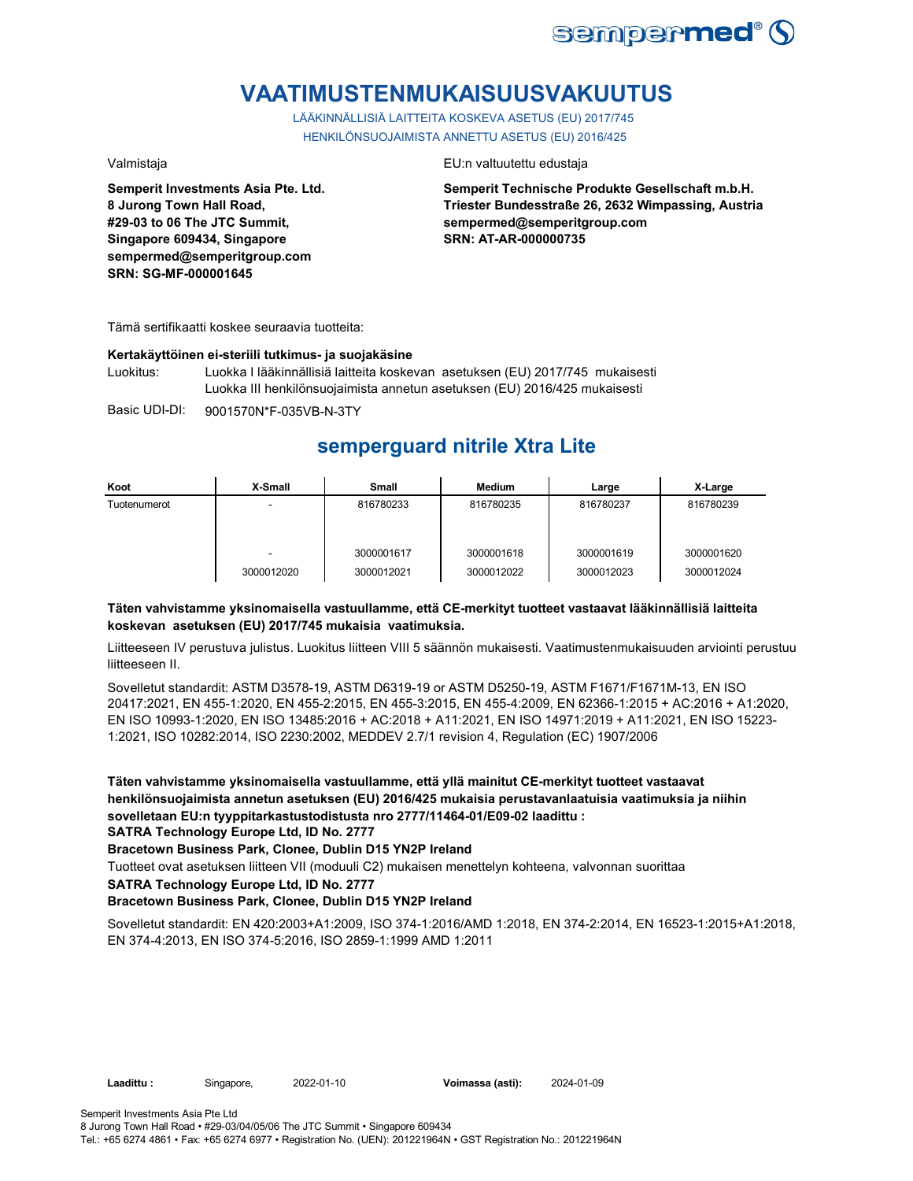

# **VAATIMUSTENMUKAISUUSVAKUUTUS**

LÄÄKINNÄLLISIÄ LAITTEITA KOSKEVA ASETUS (EU) 2017/745 HENKILÖNSUOJAIMISTA ANNETTU ASETUS (EU) 2016/425

**Semperit Investments Asia Pte. Ltd. 8 Jurong Town Hall Road, #29-03 to 06 The JTC Summit, Singapore 609434, Singapore sempermed@semperitgroup.com SRN: SG-MF-000001645**

#### Valmistaja EU:n valtuutettu edustaja

**Semperit Technische Produkte Gesellschaft m.b.H. Triester Bundesstraße 26, 2632 Wimpassing, Austria sempermed@semperitgroup.com SRN: AT-AR-000000735**

Tämä sertifikaatti koskee seuraavia tuotteita:

#### **Kertakäyttöinen ei-steriili tutkimus- ja suojakäsine**

Luokitus: Luokka I lääkinnällisiä laitteita koskevan asetuksen (EU) 2017/745 mukaisesti Luokka III henkilönsuojaimista annetun asetuksen (EU) 2016/425 mukaisesti

Basic UDI-DI: 9001570N\*F-035VB-N-3TY

## **semperguard nitrile Xtra Lite**

| Koot         | X-Small         | <b>Small</b>             | Medium                   | Large                    | X-Large                  |
|--------------|-----------------|--------------------------|--------------------------|--------------------------|--------------------------|
| Tuotenumerot | -               | 816780233                | 816780235                | 816780237                | 816780239                |
|              | -<br>3000012020 | 3000001617<br>3000012021 | 3000001618<br>3000012022 | 3000001619<br>3000012023 | 3000001620<br>3000012024 |

### **Täten vahvistamme yksinomaisella vastuullamme, että CE-merkityt tuotteet vastaavat lääkinnällisiä laitteita koskevan asetuksen (EU) 2017/745 mukaisia vaatimuksia.**

Liitteeseen IV perustuva julistus. Luokitus liitteen VIII 5 säännön mukaisesti. Vaatimustenmukaisuuden arviointi perustuu liitteeseen II.

Sovelletut standardit: ASTM D3578-19, ASTM D6319-19 or ASTM D5250-19, ASTM F1671/F1671M-13, EN ISO 20417:2021, EN 455-1:2020, EN 455-2:2015, EN 455-3:2015, EN 455-4:2009, EN 62366-1:2015 + AC:2016 + A1:2020, EN ISO 10993-1:2020, EN ISO 13485:2016 + AC:2018 + A11:2021, EN ISO 14971:2019 + A11:2021, EN ISO 15223- 1:2021, ISO 10282:2014, ISO 2230:2002, MEDDEV 2.7/1 revision 4, Regulation (EC) 1907/2006

**Täten vahvistamme yksinomaisella vastuullamme, että yllä mainitut CE-merkityt tuotteet vastaavat henkilönsuojaimista annetun asetuksen (EU) 2016/425 mukaisia perustavanlaatuisia vaatimuksia ja niihin sovelletaan EU:n tyyppitarkastustodistusta nro 2777/11464-01/E09-02 laadittu :**

**SATRA Technology Europe Ltd, ID No. 2777**

#### **Bracetown Business Park, Clonee, Dublin D15 YN2P Ireland**

Tuotteet ovat asetuksen liitteen VII (moduuli C2) mukaisen menettelyn kohteena, valvonnan suorittaa

**SATRA Technology Europe Ltd, ID No. 2777**

#### **Bracetown Business Park, Clonee, Dublin D15 YN2P Ireland**

Sovelletut standardit: EN 420:2003+A1:2009, ISO 374-1:2016/AMD 1:2018, EN 374-2:2014, EN 16523-1:2015+A1:2018, EN 374-4:2013, EN ISO 374-5:2016, ISO 2859-1:1999 AMD 1:2011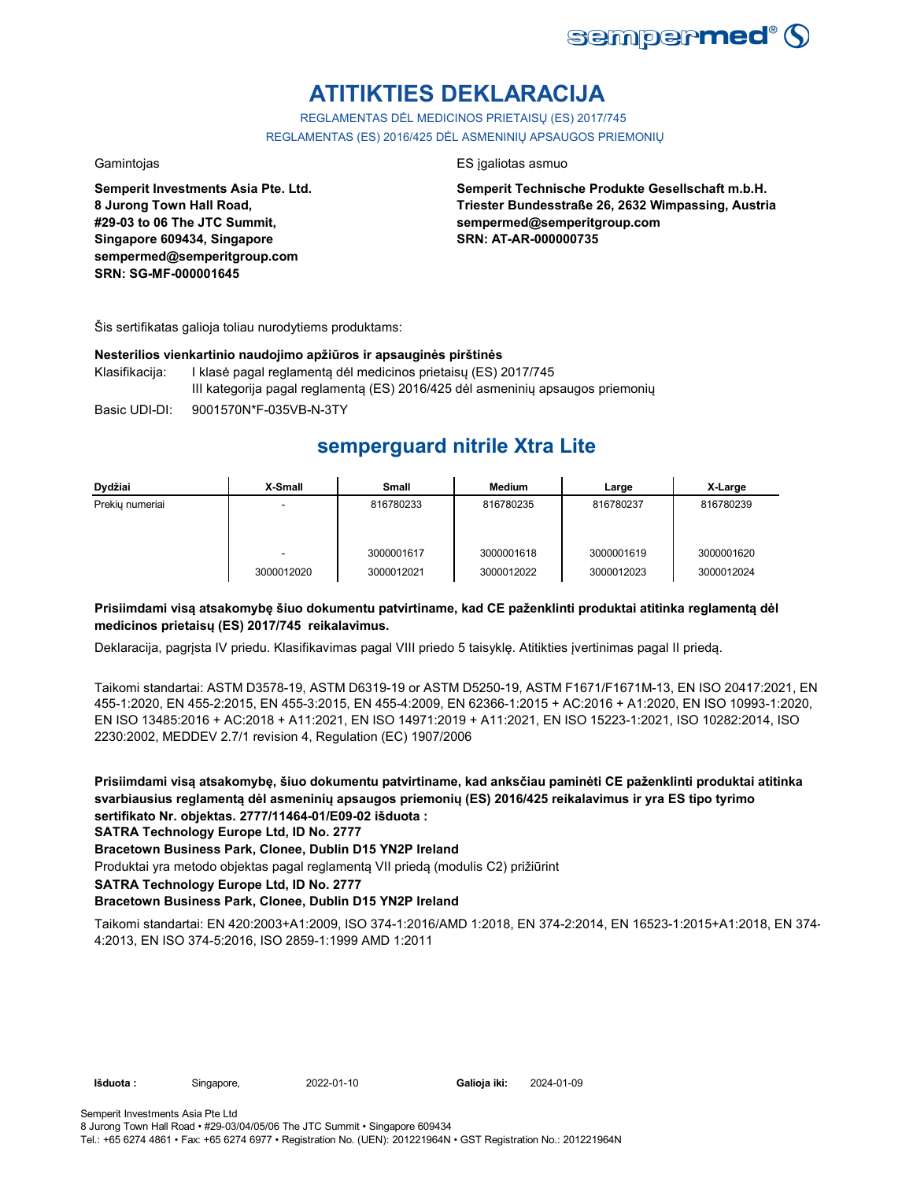

# **ATITIKTIES DEKLARACIJA**

REGLAMENTAS DĖL MEDICINOS PRIETAISŲ (ES) 2017/745 REGLAMENTAS (ES) 2016/425 DĖL ASMENINIŲ APSAUGOS PRIEMONIŲ

**Semperit Investments Asia Pte. Ltd. 8 Jurong Town Hall Road, #29-03 to 06 The JTC Summit, Singapore 609434, Singapore sempermed@semperitgroup.com SRN: SG-MF-000001645**

#### Gamintojas **ES** įgaliotas asmuo

**Semperit Technische Produkte Gesellschaft m.b.H. Triester Bundesstraße 26, 2632 Wimpassing, Austria sempermed@semperitgroup.com SRN: AT-AR-000000735**

Šis sertifikatas galioja toliau nurodytiems produktams:

### **Nesterilios vienkartinio naudojimo apžiūros ir apsauginės pirštinės**

| Klasifikaciia: | I klasė pagal reglamentą dėl medicinos prietaisų (ES) 2017/745                 |
|----------------|--------------------------------------------------------------------------------|
|                | III kategorija pagal reglamentą (ES) 2016/425 dėl asmeninių apsaugos priemonių |
|                |                                                                                |

Basic UDI-DI: 9001570N\*F-035VB-N-3TY

## **semperguard nitrile Xtra Lite**

| Dydžiai         | X-Small    | Small      | Medium     | Large      | X-Large    |
|-----------------|------------|------------|------------|------------|------------|
| Prekiu numeriai |            | 816780233  | 816780235  | 816780237  | 816780239  |
|                 |            | 3000001617 | 3000001618 | 3000001619 | 3000001620 |
|                 | 3000012020 | 3000012021 | 3000012022 | 3000012023 | 3000012024 |

### **Prisiimdami visą atsakomybę šiuo dokumentu patvirtiname, kad CE paženklinti produktai atitinka reglamentą dėl medicinos prietaisų (ES) 2017/745 reikalavimus.**

Deklaracija, pagrįsta IV priedu. Klasifikavimas pagal VIII priedo 5 taisyklę. Atitikties įvertinimas pagal II priedą.

Taikomi standartai: ASTM D3578-19, ASTM D6319-19 or ASTM D5250-19, ASTM F1671/F1671M-13, EN ISO 20417:2021, EN 455-1:2020, EN 455-2:2015, EN 455-3:2015, EN 455-4:2009, EN 62366-1:2015 + AC:2016 + A1:2020, EN ISO 10993-1:2020, EN ISO 13485:2016 + AC:2018 + A11:2021, EN ISO 14971:2019 + A11:2021, EN ISO 15223-1:2021, ISO 10282:2014, ISO 2230:2002, MEDDEV 2.7/1 revision 4, Regulation (EC) 1907/2006

**Prisiimdami visą atsakomybę, šiuo dokumentu patvirtiname, kad anksčiau paminėti CE paženklinti produktai atitinka svarbiausius reglamentą dėl asmeninių apsaugos priemonių (ES) 2016/425 reikalavimus ir yra ES tipo tyrimo sertifikato Nr. objektas. 2777/11464-01/E09-02 išduota :**

**SATRA Technology Europe Ltd, ID No. 2777**

#### **Bracetown Business Park, Clonee, Dublin D15 YN2P Ireland**

Produktai yra metodo objektas pagal reglamentą VII priedą (modulis C2) prižiūrint

**SATRA Technology Europe Ltd, ID No. 2777**

#### **Bracetown Business Park, Clonee, Dublin D15 YN2P Ireland**

Taikomi standartai: EN 420:2003+A1:2009, ISO 374-1:2016/AMD 1:2018, EN 374-2:2014, EN 16523-1:2015+A1:2018, EN 374- 4:2013, EN ISO 374-5:2016, ISO 2859-1:1999 AMD 1:2011

**Išduota :** Singapore, 2022-01-10

Galioja iki: 2024-01-09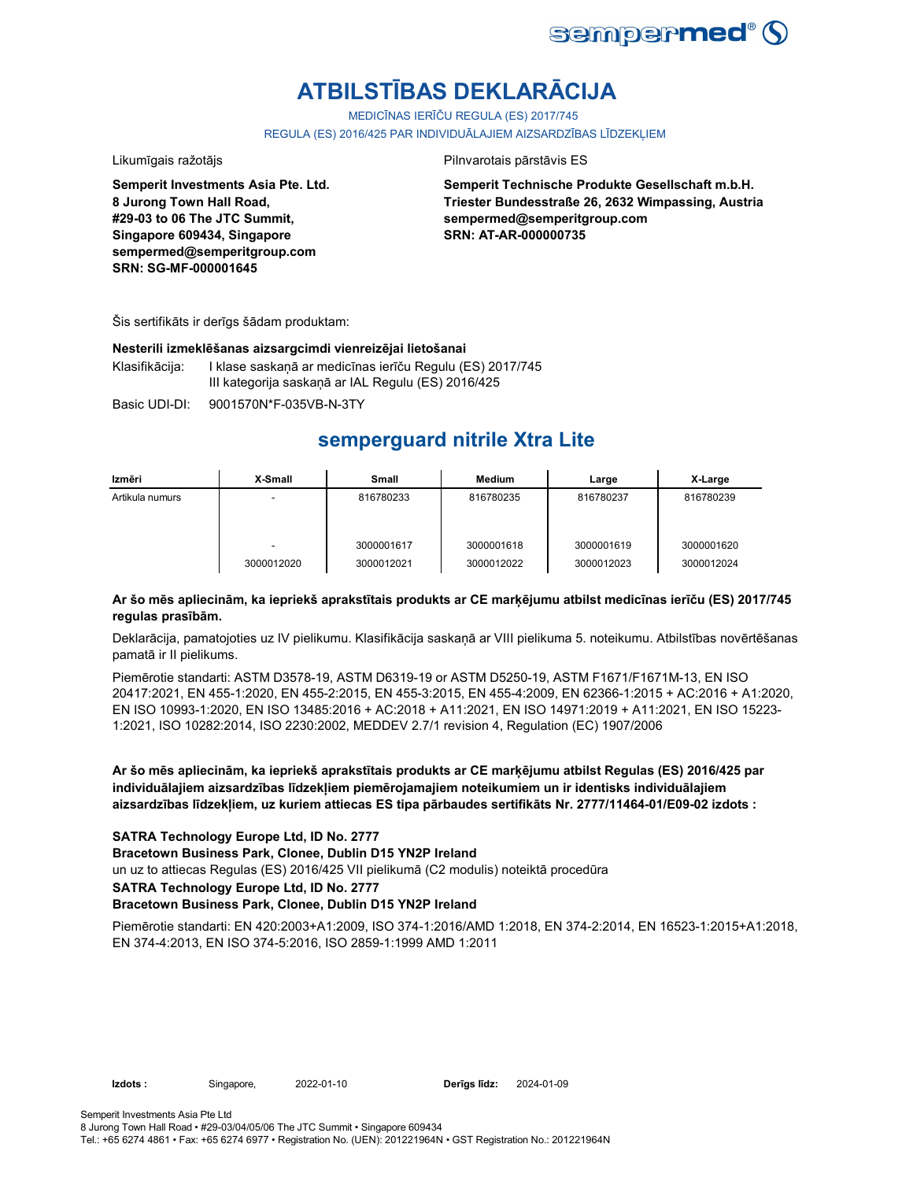

# **ATBILSTĪBAS DEKLARĀCIJA**

MEDICĪNAS IERĪČU REGULA (ES) 2017/745 REGULA (ES) 2016/425 PAR INDIVIDUĀLAJIEM AIZSARDZĪBAS LĪDZEKLIEM

**Semperit Investments Asia Pte. Ltd. 8 Jurong Town Hall Road, #29-03 to 06 The JTC Summit, Singapore 609434, Singapore sempermed@semperitgroup.com SRN: SG-MF-000001645**

#### Likumīgais ražotājs Pilnvarotais pārstāvis ES

**Semperit Technische Produkte Gesellschaft m.b.H. Triester Bundesstraße 26, 2632 Wimpassing, Austria sempermed@semperitgroup.com SRN: AT-AR-000000735**

Šis sertifikāts ir derīgs šādam produktam:

#### **Nesterili izmeklēšanas aizsargcimdi vienreizējai lietošanai**

Klasifikācija: I klase saskaņā ar medicīnas ierīču Regulu (ES) 2017/745 III kategorija saskaņā ar IAL Regulu (ES) 2016/425

Basic UDI-DI: 9001570N\*F-035VB-N-3TY 9001570N\*F-035VB-N-3T

## **semperguard nitrile Xtra Lite**

| Izmēri          | X-Small                                | Small                    | Medium                   | Large                    | X-Large                  |
|-----------------|----------------------------------------|--------------------------|--------------------------|--------------------------|--------------------------|
| Artikula numurs | -                                      | 816780233                | 816780235                | 816780237                | 816780239                |
|                 | $\overline{\phantom{0}}$<br>3000012020 | 3000001617<br>3000012021 | 3000001618<br>3000012022 | 3000001619<br>3000012023 | 3000001620<br>3000012024 |

### **Ar šo mēs apliecinām, ka iepriekš aprakstītais produkts ar CE marķējumu atbilst medicīnas ierīču (ES) 2017/745 regulas prasībām.**

Deklarācija, pamatojoties uz IV pielikumu. Klasifikācija saskaņā ar VIII pielikuma 5. noteikumu. Atbilstības novērtēšanas pamatā ir II pielikums.

Piemērotie standarti: ASTM D3578-19, ASTM D6319-19 or ASTM D5250-19, ASTM F1671/F1671M-13, EN ISO 20417:2021, EN 455-1:2020, EN 455-2:2015, EN 455-3:2015, EN 455-4:2009, EN 62366-1:2015 + AC:2016 + A1:2020, EN ISO 10993-1:2020, EN ISO 13485:2016 + AC:2018 + A11:2021, EN ISO 14971:2019 + A11:2021, EN ISO 15223- 1:2021, ISO 10282:2014, ISO 2230:2002, MEDDEV 2.7/1 revision 4, Regulation (EC) 1907/2006

**Ar šo mēs apliecinām, ka iepriekš aprakstītais produkts ar CE marķējumu atbilst Regulas (ES) 2016/425 par individuālajiem aizsardzības līdzekļiem piemērojamajiem noteikumiem un ir identisks individuālajiem aizsardzības līdzekļiem, uz kuriem attiecas ES tipa pārbaudes sertifikāts Nr. 2777/11464-01/E09-02 izdots :**

### **SATRA Technology Europe Ltd, ID No. 2777**

**Bracetown Business Park, Clonee, Dublin D15 YN2P Ireland**

un uz to attiecas Regulas (ES) 2016/425 VII pielikumā (C2 modulis) noteiktā procedūra

**SATRA Technology Europe Ltd, ID No. 2777**

#### **Bracetown Business Park, Clonee, Dublin D15 YN2P Ireland**

Piemērotie standarti: EN 420:2003+A1:2009, ISO 374-1:2016/AMD 1:2018, EN 374-2:2014, EN 16523-1:2015+A1:2018, EN 374-4:2013, EN ISO 374-5:2016, ISO 2859-1:1999 AMD 1:2011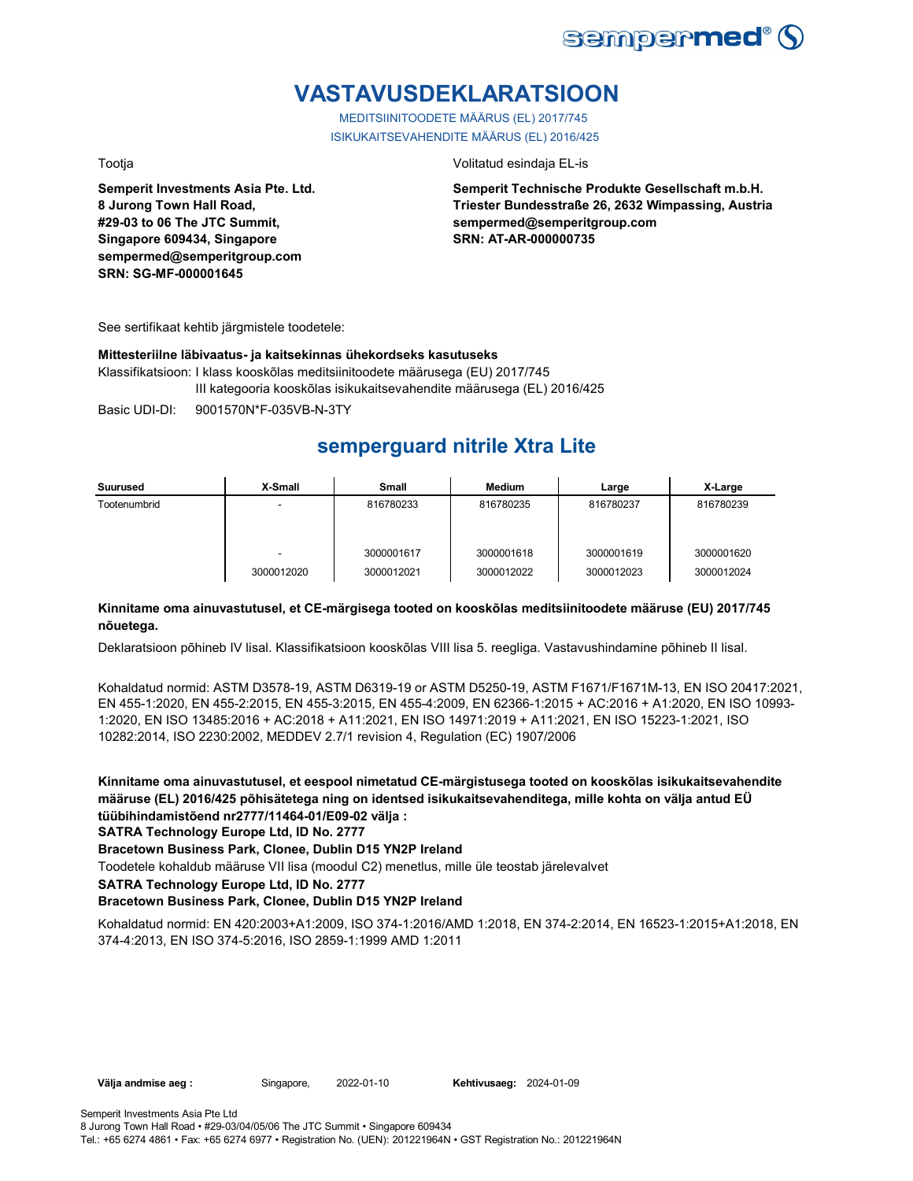

# **VASTAVUSDEKLARATSIOON**

MEDITSIINITOODETE MÄÄRUS (EL) 2017/745 ISIKUKAITSEVAHENDITE MÄÄRUS (EL) 2016/425

**Semperit Investments Asia Pte. Ltd. 8 Jurong Town Hall Road, #29-03 to 06 The JTC Summit, Singapore 609434, Singapore sempermed@semperitgroup.com SRN: SG-MF-000001645**

Tootja Volitatud esindaja EL-is

**Semperit Technische Produkte Gesellschaft m.b.H. Triester Bundesstraße 26, 2632 Wimpassing, Austria sempermed@semperitgroup.com SRN: AT-AR-000000735**

See sertifikaat kehtib järgmistele toodetele:

#### **Mittesteriilne läbivaatus- ja kaitsekinnas ühekordseks kasutuseks**

Klassifikatsioon: I klass kooskõlas meditsiinitoodete määrusega (EU) 2017/745 III kategooria kooskõlas isikukaitsevahendite määrusega (EL) 2016/425

Basic UDI-DI: 9001570N\*F-035VB-N-3TY 9001570N\*F-035VB-N-3T

## **semperguard nitrile Xtra Lite**

| Suurused     | X-Small         | <b>Small</b>             | Medium                   | Large                    | X-Large                  |
|--------------|-----------------|--------------------------|--------------------------|--------------------------|--------------------------|
| Tootenumbrid |                 | 816780233                | 816780235                | 816780237                | 816780239                |
|              | ٠<br>3000012020 | 3000001617<br>3000012021 | 3000001618<br>3000012022 | 3000001619<br>3000012023 | 3000001620<br>3000012024 |

### **Kinnitame oma ainuvastutusel, et CE-märgisega tooted on kooskõlas meditsiinitoodete määruse (EU) 2017/745 nõuetega.**

Deklaratsioon põhineb IV lisal. Klassifikatsioon kooskõlas VIII lisa 5. reegliga. Vastavushindamine põhineb II lisal.

Kohaldatud normid: ASTM D3578-19, ASTM D6319-19 or ASTM D5250-19, ASTM F1671/F1671M-13, EN ISO 20417:2021, EN 455-1:2020, EN 455-2:2015, EN 455-3:2015, EN 455-4:2009, EN 62366-1:2015 + AC:2016 + A1:2020, EN ISO 10993- 1:2020, EN ISO 13485:2016 + AC:2018 + A11:2021, EN ISO 14971:2019 + A11:2021, EN ISO 15223-1:2021, ISO 10282:2014, ISO 2230:2002, MEDDEV 2.7/1 revision 4, Regulation (EC) 1907/2006

**Kinnitame oma ainuvastutusel, et eespool nimetatud CE-märgistusega tooted on kooskõlas isikukaitsevahendite määruse (EL) 2016/425 põhisätetega ning on identsed isikukaitsevahenditega, mille kohta on välja antud EÜ tüübihindamistõend nr2777/11464-01/E09-02 välja :**

**SATRA Technology Europe Ltd, ID No. 2777**

#### **Bracetown Business Park, Clonee, Dublin D15 YN2P Ireland**

Toodetele kohaldub määruse VII lisa (moodul C2) menetlus, mille üle teostab järelevalvet

**SATRA Technology Europe Ltd, ID No. 2777**

### **Bracetown Business Park, Clonee, Dublin D15 YN2P Ireland**

Kohaldatud normid: EN 420:2003+A1:2009, ISO 374-1:2016/AMD 1:2018, EN 374-2:2014, EN 16523-1:2015+A1:2018, EN 374-4:2013, EN ISO 374-5:2016, ISO 2859-1:1999 AMD 1:2011

**Välja andmise aeg :** Singapore, 2022-01-10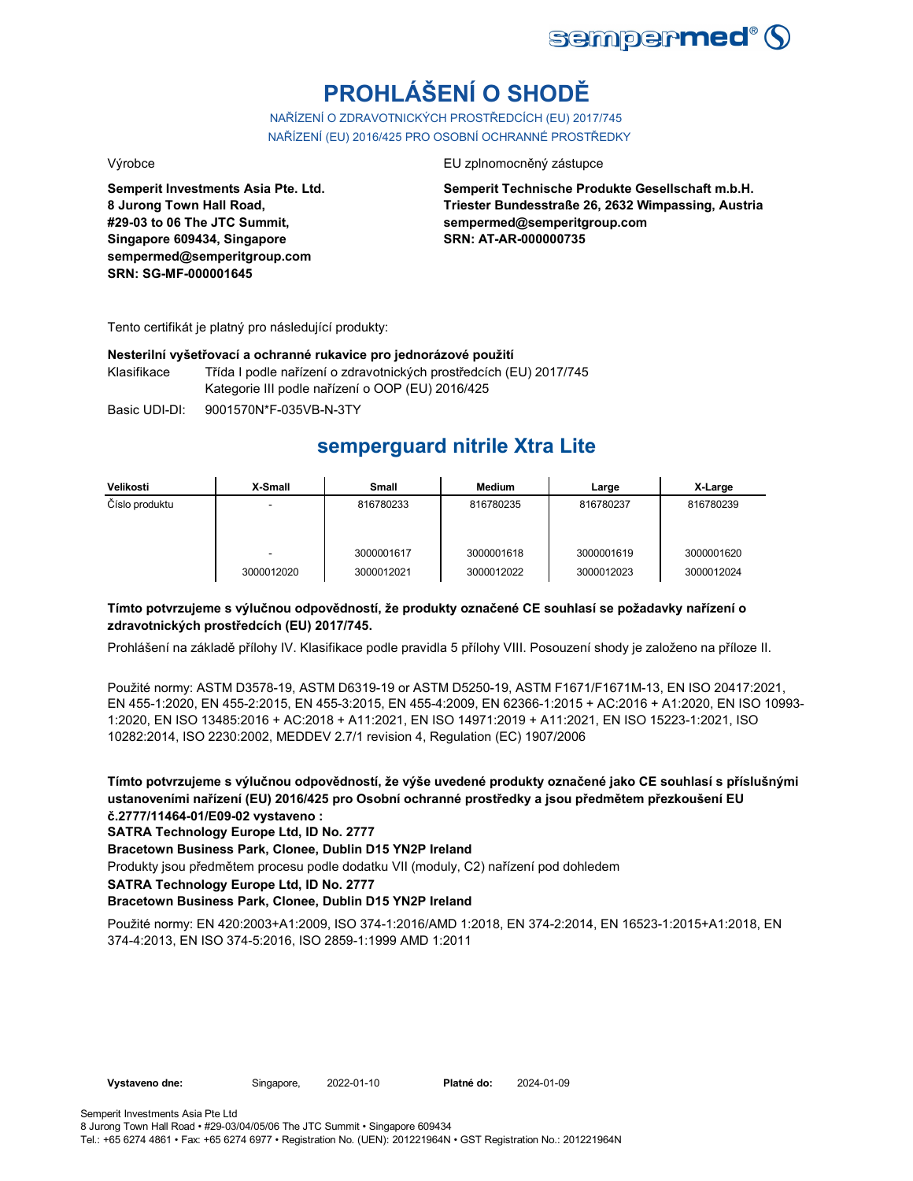

# **PROHLÁŠENÍ O SHODĚ**

NAŘÍZENÍ O ZDRAVOTNICKÝCH PROSTŘEDCÍCH (EU) 2017/745 NAŘÍZENÍ (EU) 2016/425 PRO OSOBNÍ OCHRANNÉ PROSTŘEDKY

**Semperit Investments Asia Pte. Ltd. 8 Jurong Town Hall Road, #29-03 to 06 The JTC Summit, Singapore 609434, Singapore sempermed@semperitgroup.com SRN: SG-MF-000001645**

#### Výrobce EU zplnomocněný zástupce

**Semperit Technische Produkte Gesellschaft m.b.H. Triester Bundesstraße 26, 2632 Wimpassing, Austria sempermed@semperitgroup.com SRN: AT-AR-000000735**

Tento certifikát je platný pro následující produkty:

#### **Nesterilní vyšetřovací a ochranné rukavice pro jednorázové použití**

Klasifikace Třída I podle nařízení o zdravotnických prostředcích (EU) 2017/745 Kategorie III podle nařízení o OOP (EU) 2016/425

Basic UDI-DI: 9001570N\*F-035VB-N-3TY 9001570N\*F-035VB-N-3T

## **semperguard nitrile Xtra Lite**

| Velikosti      | X-Small    | Small      | <b>Medium</b> | Large      | X-Large    |
|----------------|------------|------------|---------------|------------|------------|
| Číslo produktu | -          | 816780233  | 816780235     | 816780237  | 816780239  |
|                |            |            |               |            |            |
|                |            |            |               |            |            |
|                | -          | 3000001617 | 3000001618    | 3000001619 | 3000001620 |
|                | 3000012020 | 3000012021 | 3000012022    | 3000012023 | 3000012024 |

### **Tímto potvrzujeme s výlučnou odpovědností, že produkty označené CE souhlasí se požadavky nařízení o zdravotnických prostředcích (EU) 2017/745.**

Prohlášení na základě přílohy IV. Klasifikace podle pravidla 5 přílohy VIII. Posouzení shody je založeno na příloze II.

Použité normy: ASTM D3578-19, ASTM D6319-19 or ASTM D5250-19, ASTM F1671/F1671M-13, EN ISO 20417:2021, EN 455-1:2020, EN 455-2:2015, EN 455-3:2015, EN 455-4:2009, EN 62366-1:2015 + AC:2016 + A1:2020, EN ISO 10993- 1:2020, EN ISO 13485:2016 + AC:2018 + A11:2021, EN ISO 14971:2019 + A11:2021, EN ISO 15223-1:2021, ISO 10282:2014, ISO 2230:2002, MEDDEV 2.7/1 revision 4, Regulation (EC) 1907/2006

**Tímto potvrzujeme s výlučnou odpovědností, že výše uvedené produkty označené jako CE souhlasí s příslušnými ustanoveními nařízení (EU) 2016/425 pro Osobní ochranné prostředky a jsou předmětem přezkoušení EU č.2777/11464-01/E09-02 vystaveno :**

**SATRA Technology Europe Ltd, ID No. 2777**

**Bracetown Business Park, Clonee, Dublin D15 YN2P Ireland**

Produkty jsou předmětem procesu podle dodatku VII (moduly, C2) nařízení pod dohledem

**SATRA Technology Europe Ltd, ID No. 2777**

#### **Bracetown Business Park, Clonee, Dublin D15 YN2P Ireland**

Použité normy: EN 420:2003+A1:2009, ISO 374-1:2016/AMD 1:2018, EN 374-2:2014, EN 16523-1:2015+A1:2018, EN 374-4:2013, EN ISO 374-5:2016, ISO 2859-1:1999 AMD 1:2011

Vystaveno dne: Singapore, 2022-01-10 Platné do: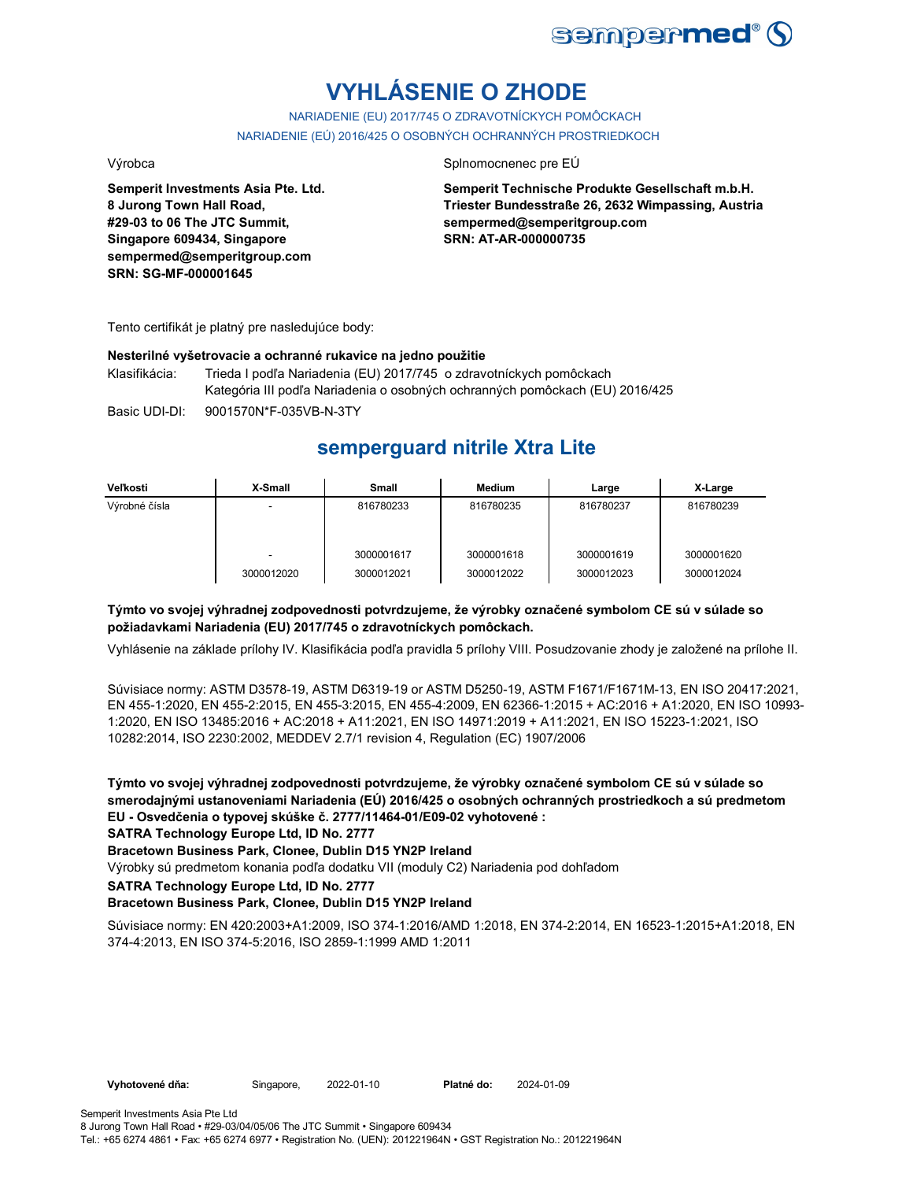

# **VYHLÁSENIE O ZHODE**

NARIADENIE (EU) 2017/745 O ZDRAVOTNÍCKYCH POMÔCKACH NARIADENIE (EÚ) 2016/425 O OSOBNÝCH OCHRANNÝCH PROSTRIEDKOCH

#### Výrobca Splnomocnenec pre EÚ

**Semperit Investments Asia Pte. Ltd. 8 Jurong Town Hall Road, #29-03 to 06 The JTC Summit,**

**Semperit Technische Produkte Gesellschaft m.b.H. Triester Bundesstraße 26, 2632 Wimpassing, Austria sempermed@semperitgroup.com SRN: AT-AR-000000735**

Tento certifikát je platný pre nasledujúce body:

**Singapore 609434, Singapore sempermed@semperitgroup.com**

**SRN: SG-MF-000001645**

#### **Nesterilné vyšetrovacie a ochranné rukavice na jedno použitie**

Klasifikácia: Trieda I podľa Nariadenia (EU) 2017/745 o zdravotníckych pomôckach Kategória III podľa Nariadenia o osobných ochranných pomôckach (EU) 2016/425

Basic UDI-DI: 9001570N\*F-035VB-N-3TY

# **semperguard nitrile Xtra Lite**

| Veľkosti      | X-Small                  | <b>Small</b> | <b>Medium</b> | Large      | X-Large    |
|---------------|--------------------------|--------------|---------------|------------|------------|
| Výrobné čísla | $\overline{\phantom{a}}$ | 816780233    | 816780235     | 816780237  | 816780239  |
|               |                          |              |               |            |            |
|               | -                        | 3000001617   | 3000001618    | 3000001619 | 3000001620 |
|               | 3000012020               | 3000012021   | 3000012022    | 3000012023 | 3000012024 |

### **Týmto vo svojej výhradnej zodpovednosti potvrdzujeme, že výrobky označené symbolom CE sú v súlade so požiadavkami Nariadenia (EU) 2017/745 o zdravotníckych pomôckach.**

Vyhlásenie na základe prílohy IV. Klasifikácia podľa pravidla 5 prílohy VIII. Posudzovanie zhody je založené na prílohe II.

Súvisiace normy: ASTM D3578-19, ASTM D6319-19 or ASTM D5250-19, ASTM F1671/F1671M-13, EN ISO 20417:2021, EN 455-1:2020, EN 455-2:2015, EN 455-3:2015, EN 455-4:2009, EN 62366-1:2015 + AC:2016 + A1:2020, EN ISO 10993- 1:2020, EN ISO 13485:2016 + AC:2018 + A11:2021, EN ISO 14971:2019 + A11:2021, EN ISO 15223-1:2021, ISO 10282:2014, ISO 2230:2002, MEDDEV 2.7/1 revision 4, Regulation (EC) 1907/2006

**Týmto vo svojej výhradnej zodpovednosti potvrdzujeme, že výrobky označené symbolom CE sú v súlade so smerodajnými ustanoveniami Nariadenia (EÚ) 2016/425 o osobných ochranných prostriedkoch a sú predmetom EU - Osvedčenia o typovej skúške č. 2777/11464-01/E09-02 vyhotovené :**

**SATRA Technology Europe Ltd, ID No. 2777**

#### **Bracetown Business Park, Clonee, Dublin D15 YN2P Ireland**

Výrobky sú predmetom konania podľa dodatku VII (moduly C2) Nariadenia pod dohľadom

**SATRA Technology Europe Ltd, ID No. 2777**

#### **Bracetown Business Park, Clonee, Dublin D15 YN2P Ireland**

Súvisiace normy: EN 420:2003+A1:2009, ISO 374-1:2016/AMD 1:2018, EN 374-2:2014, EN 16523-1:2015+A1:2018, EN 374-4:2013, EN ISO 374-5:2016, ISO 2859-1:1999 AMD 1:2011

**Vyhotovené dňa:** Singapore, 2022-01-10 Platné do: 2024-01-09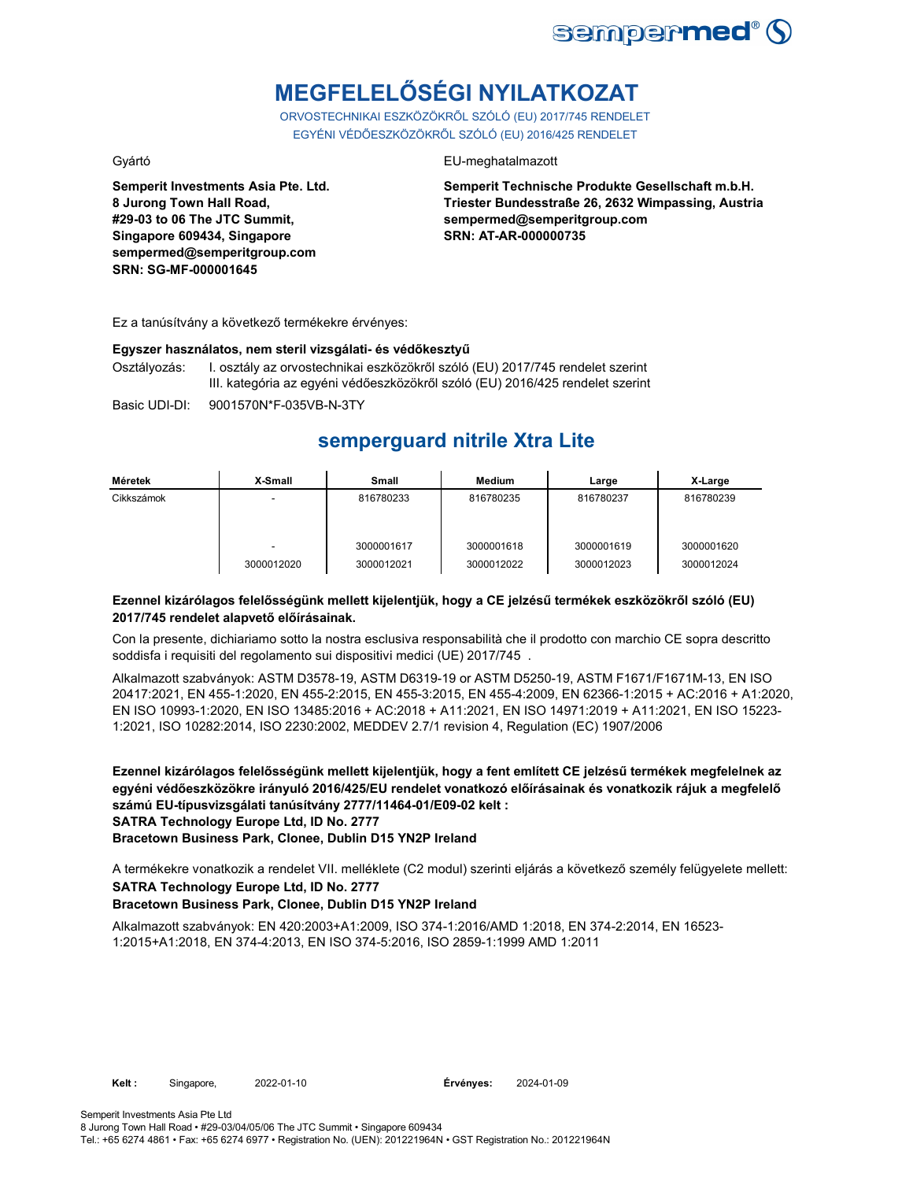

# **MEGFELELŐSÉGI NYILATKOZAT**

ORVOSTECHNIKAI ESZKÖZÖKRŐL SZÓLÓ (EU) 2017/745 RENDELET EGYÉNI VÉDŐESZKÖZÖKRŐL SZÓLÓ (EU) 2016/425 RENDELET

**Semperit Investments Asia Pte. Ltd. 8 Jurong Town Hall Road, #29-03 to 06 The JTC Summit, Singapore 609434, Singapore sempermed@semperitgroup.com SRN: SG-MF-000001645**

#### Gyártó EU-meghatalmazott

**Semperit Technische Produkte Gesellschaft m.b.H. Triester Bundesstraße 26, 2632 Wimpassing, Austria sempermed@semperitgroup.com SRN: AT-AR-000000735**

Ez a tanúsítvány a következő termékekre érvényes:

#### **Egyszer használatos, nem steril vizsgálati- és védőkesztyű**

Osztályozás: I. osztály az orvostechnikai eszközökről szóló (EU) 2017/745 rendelet szerint III. kategória az egyéni védőeszközökről szóló (EU) 2016/425 rendelet szerint

Basic UDI-DI: 9001570N\*F-035VB-N-3TY

## **semperguard nitrile Xtra Lite**

| Méretek    | X-Small    | <b>Small</b> | Medium     | Large      | X-Large    |
|------------|------------|--------------|------------|------------|------------|
| Cikkszámok |            | 816780233    | 816780235  | 816780237  | 816780239  |
|            |            | 3000001617   | 3000001618 | 3000001619 | 3000001620 |
|            | 3000012020 | 3000012021   | 3000012022 | 3000012023 | 3000012024 |

### **Ezennel kizárólagos felelősségünk mellett kijelentjük, hogy a CE jelzésű termékek eszközökről szóló (EU) 2017/745 rendelet alapvető előírásainak.**

Con la presente, dichiariamo sotto la nostra esclusiva responsabilità che il prodotto con marchio CE sopra descritto soddisfa i requisiti del regolamento sui dispositivi medici (UE) 2017/745 .

Alkalmazott szabványok: ASTM D3578-19, ASTM D6319-19 or ASTM D5250-19, ASTM F1671/F1671M-13, EN ISO 20417:2021, EN 455-1:2020, EN 455-2:2015, EN 455-3:2015, EN 455-4:2009, EN 62366-1:2015 + AC:2016 + A1:2020, EN ISO 10993-1:2020, EN ISO 13485:2016 + AC:2018 + A11:2021, EN ISO 14971:2019 + A11:2021, EN ISO 15223- 1:2021, ISO 10282:2014, ISO 2230:2002, MEDDEV 2.7/1 revision 4, Regulation (EC) 1907/2006

**Ezennel kizárólagos felelősségünk mellett kijelentjük, hogy a fent említett CE jelzésű termékek megfelelnek az egyéni védőeszközökre irányuló 2016/425/EU rendelet vonatkozó előírásainak és vonatkozik rájuk a megfelelő számú EU-típusvizsgálati tanúsítvány 2777/11464-01/E09-02 kelt : SATRA Technology Europe Ltd, ID No. 2777**

**Bracetown Business Park, Clonee, Dublin D15 YN2P Ireland**

A termékekre vonatkozik a rendelet VII. melléklete (C2 modul) szerinti eljárás a következő személy felügyelete mellett: **SATRA Technology Europe Ltd, ID No. 2777**

### **Bracetown Business Park, Clonee, Dublin D15 YN2P Ireland**

Alkalmazott szabványok: EN 420:2003+A1:2009, ISO 374-1:2016/AMD 1:2018, EN 374-2:2014, EN 16523- 1:2015+A1:2018, EN 374-4:2013, EN ISO 374-5:2016, ISO 2859-1:1999 AMD 1:2011

2024-01-09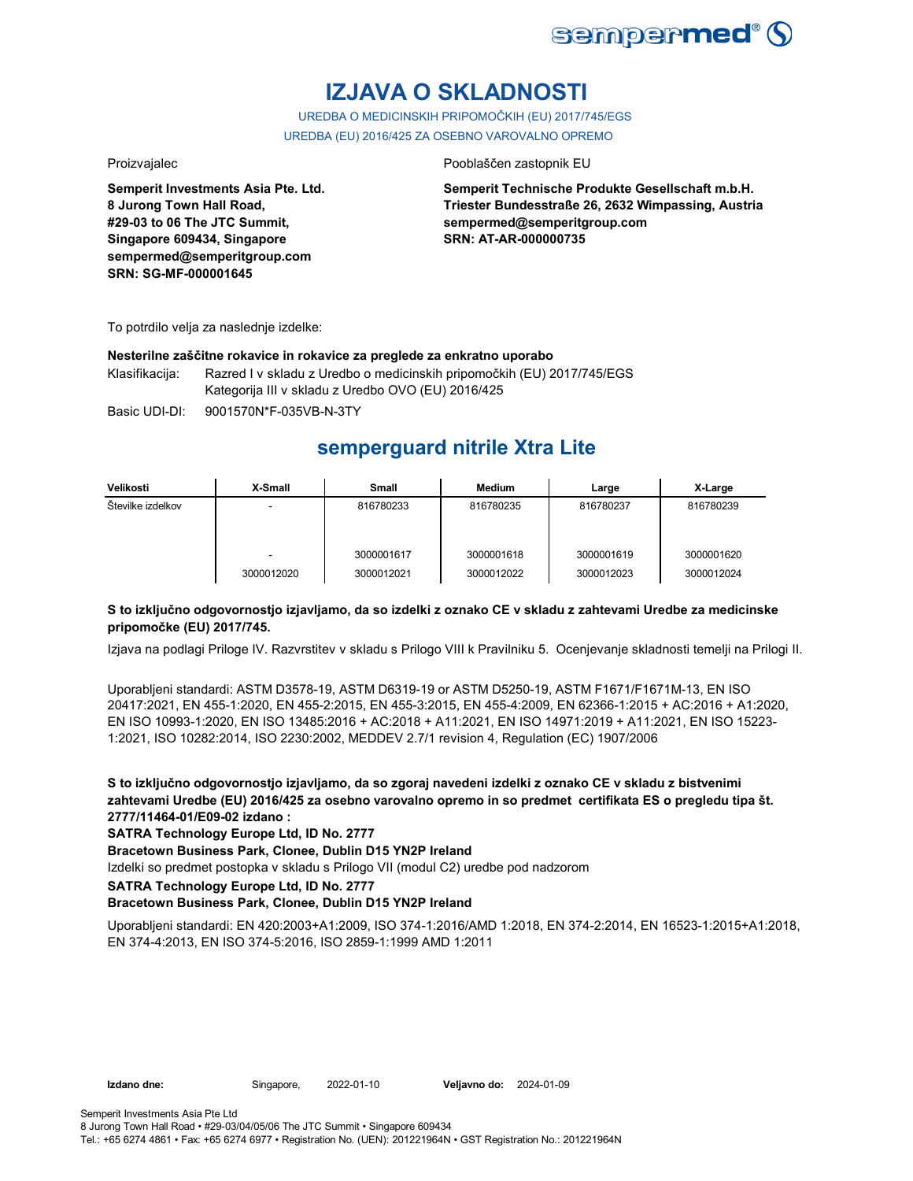

# **IZJAVA O SKLADNOSTI**

UREDBA O MEDICINSKIH PRIPOMOČKIH (EU) 2017/745/EGS UREDBA (EU) 2016/425 ZA OSEBNO VAROVALNO OPREMO

Proizvajalec **Proizvajalec** Pooblaščen zastopnik EU

**Semperit Investments Asia Pte. Ltd. 8 Jurong Town Hall Road, #29-03 to 06 The JTC Summit, Singapore 609434, Singapore sempermed@semperitgroup.com SRN: SG-MF-000001645**

**Semperit Technische Produkte Gesellschaft m.b.H. Triester Bundesstraße 26, 2632 Wimpassing, Austria sempermed@semperitgroup.com SRN: AT-AR-000000735**

To potrdilo velja za naslednje izdelke:

#### **Nesterilne zaščitne rokavice in rokavice za preglede za enkratno uporabo**

Klasifikacija: Razred I v skladu z Uredbo o medicinskih pripomočkih (EU) 2017/745/EGS Kategorija III v skladu z Uredbo OVO (EU) 2016/425

Basic UDI-DI: 9001570N\*F-035VB-N-3TY

# **semperguard nitrile Xtra Lite**

| Velikosti         | X-Small    | Small      | Medium     | Large      | X-Large    |
|-------------------|------------|------------|------------|------------|------------|
| Številke izdelkov | -          | 816780233  | 816780235  | 816780237  | 816780239  |
|                   |            | 3000001617 | 3000001618 | 3000001619 | 3000001620 |
|                   | 3000012020 | 3000012021 | 3000012022 | 3000012023 | 3000012024 |

### **S to izključno odgovornostjo izjavljamo, da so izdelki z oznako CE v skladu z zahtevami Uredbe za medicinske pripomočke (EU) 2017/745.**

Izjava na podlagi Priloge IV. Razvrstitev v skladu s Prilogo VIII k Pravilniku 5. Ocenjevanje skladnosti temelji na Prilogi II.

Uporabljeni standardi: ASTM D3578-19, ASTM D6319-19 or ASTM D5250-19, ASTM F1671/F1671M-13, EN ISO 20417:2021, EN 455-1:2020, EN 455-2:2015, EN 455-3:2015, EN 455-4:2009, EN 62366-1:2015 + AC:2016 + A1:2020, EN ISO 10993-1:2020, EN ISO 13485:2016 + AC:2018 + A11:2021, EN ISO 14971:2019 + A11:2021, EN ISO 15223- 1:2021, ISO 10282:2014, ISO 2230:2002, MEDDEV 2.7/1 revision 4, Regulation (EC) 1907/2006

**S to izključno odgovornostjo izjavljamo, da so zgoraj navedeni izdelki z oznako CE v skladu z bistvenimi zahtevami Uredbe (EU) 2016/425 za osebno varovalno opremo in so predmet certifikata ES o pregledu tipa št. 2777/11464-01/E09-02 izdano :**

**SATRA Technology Europe Ltd, ID No. 2777**

**Bracetown Business Park, Clonee, Dublin D15 YN2P Ireland**

Izdelki so predmet postopka v skladu s Prilogo VII (modul C2) uredbe pod nadzorom

**SATRA Technology Europe Ltd, ID No. 2777**

#### **Bracetown Business Park, Clonee, Dublin D15 YN2P Ireland**

Uporabljeni standardi: EN 420:2003+A1:2009, ISO 374-1:2016/AMD 1:2018, EN 374-2:2014, EN 16523-1:2015+A1:2018, EN 374-4:2013, EN ISO 374-5:2016, ISO 2859-1:1999 AMD 1:2011

**Izdano dne:** Singapore, **Veljavno do:** 2022-01-10 2024-01-09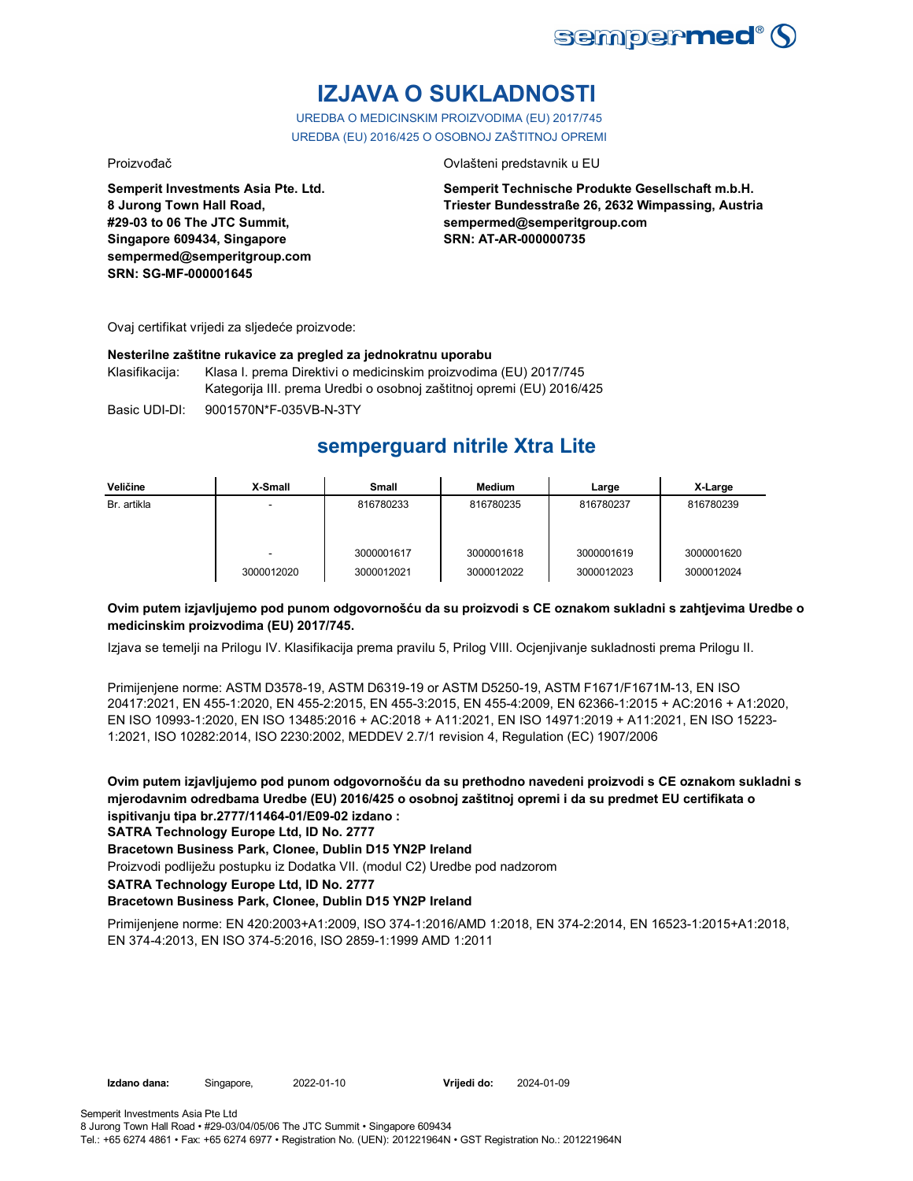

# **IZJAVA O SUKLADNOSTI**

UREDBA O MEDICINSKIM PROIZVODIMA (EU) 2017/745 UREDBA (EU) 2016/425 O OSOBNOJ ZAŠTITNOJ OPREMI

Proizvođač **Ovlašteni predstavnik u EU** 

**Semperit Investments Asia Pte. Ltd. 8 Jurong Town Hall Road, #29-03 to 06 The JTC Summit, Singapore 609434, Singapore sempermed@semperitgroup.com SRN: SG-MF-000001645**

**Semperit Technische Produkte Gesellschaft m.b.H. Triester Bundesstraße 26, 2632 Wimpassing, Austria sempermed@semperitgroup.com SRN: AT-AR-000000735**

Ovaj certifikat vrijedi za sljedeće proizvode:

#### **Nesterilne zaštitne rukavice za pregled za jednokratnu uporabu**

Klasifikacija: Klasa I. prema Direktivi o medicinskim proizvodima (EU) 2017/745 Kategorija III. prema Uredbi o osobnoj zaštitnoj opremi (EU) 2016/425

Basic UDI-DI: 9001570N\*F-035VB-N-3TY 9001570N\*F-035VB-N-3T

## **semperguard nitrile Xtra Lite**

| Veličine    | X-Small    | Small      | Medium     | Large      | X-Large    |
|-------------|------------|------------|------------|------------|------------|
| Br. artikla | -          | 816780233  | 816780235  | 816780237  | 816780239  |
|             |            |            |            |            |            |
|             |            |            |            |            |            |
|             | -          | 3000001617 | 3000001618 | 3000001619 | 3000001620 |
|             | 3000012020 | 3000012021 | 3000012022 | 3000012023 | 3000012024 |

### **Ovim putem izjavljujemo pod punom odgovornošću da su proizvodi s CE oznakom sukladni s zahtjevima Uredbe o medicinskim proizvodima (EU) 2017/745.**

Izjava se temelji na Prilogu IV. Klasifikacija prema pravilu 5, Prilog VIII. Ocjenjivanje sukladnosti prema Prilogu II.

Primijenjene norme: ASTM D3578-19, ASTM D6319-19 or ASTM D5250-19, ASTM F1671/F1671M-13, EN ISO 20417:2021, EN 455-1:2020, EN 455-2:2015, EN 455-3:2015, EN 455-4:2009, EN 62366-1:2015 + AC:2016 + A1:2020, EN ISO 10993-1:2020, EN ISO 13485:2016 + AC:2018 + A11:2021, EN ISO 14971:2019 + A11:2021, EN ISO 15223- 1:2021, ISO 10282:2014, ISO 2230:2002, MEDDEV 2.7/1 revision 4, Regulation (EC) 1907/2006

**Ovim putem izjavljujemo pod punom odgovornošću da su prethodno navedeni proizvodi s CE oznakom sukladni s mjerodavnim odredbama Uredbe (EU) 2016/425 o osobnoj zaštitnoj opremi i da su predmet EU certifikata o ispitivanju tipa br.2777/11464-01/E09-02 izdano :**

**SATRA Technology Europe Ltd, ID No. 2777**

**Bracetown Business Park, Clonee, Dublin D15 YN2P Ireland**

Proizvodi podliježu postupku iz Dodatka VII. (modul C2) Uredbe pod nadzorom

**SATRA Technology Europe Ltd, ID No. 2777**

#### **Bracetown Business Park, Clonee, Dublin D15 YN2P Ireland**

Primijenjene norme: EN 420:2003+A1:2009, ISO 374-1:2016/AMD 1:2018, EN 374-2:2014, EN 16523-1:2015+A1:2018, EN 374-4:2013, EN ISO 374-5:2016, ISO 2859-1:1999 AMD 1:2011

Vrijedi do: 2024-01-09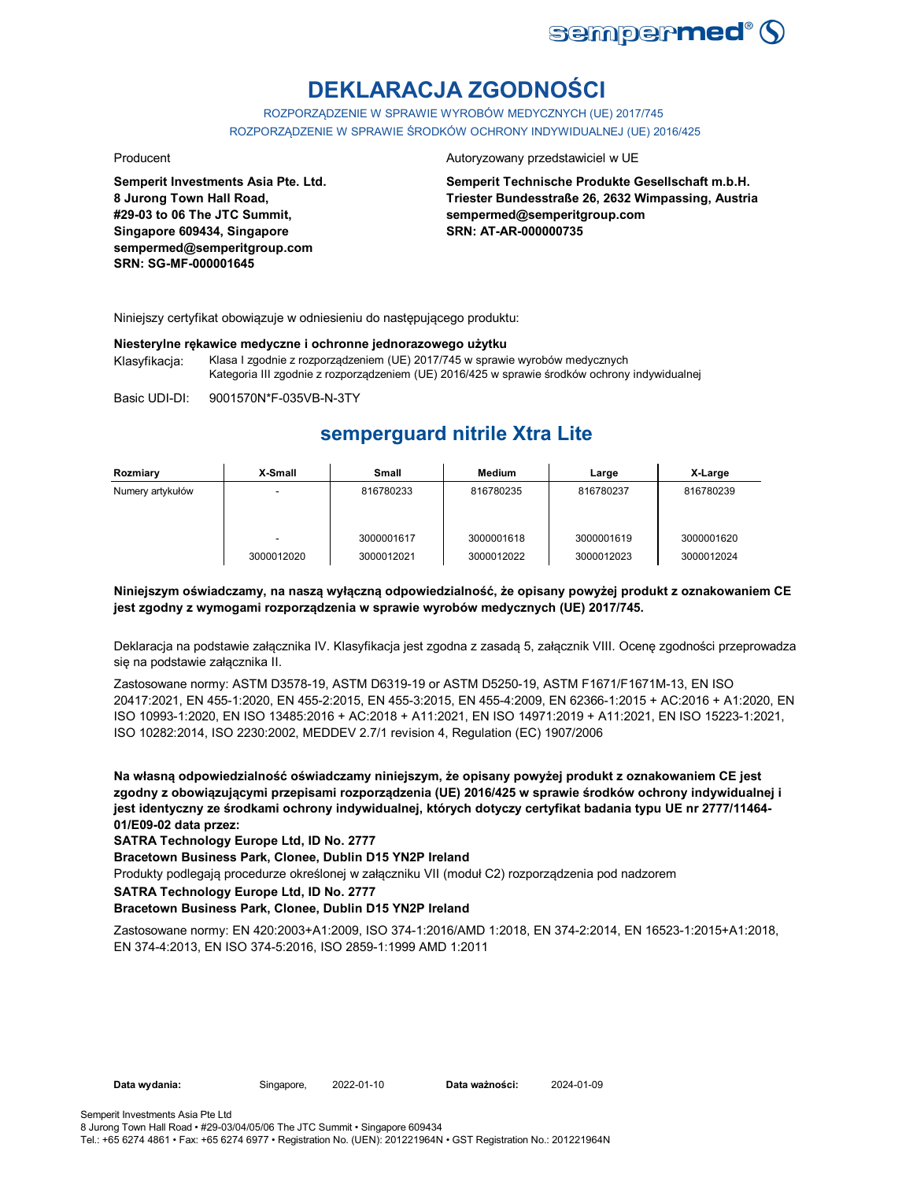

# **DEKLARACJA ZGODNOŚCI**

ROZPORZĄDZENIE W SPRAWIE WYROBÓW MEDYCZNYCH (UE) 2017/745 ROZPORZĄDZENIE W SPRAWIE ŚRODKÓW OCHRONY INDYWIDUALNEJ (UE) 2016/425

**Semperit Investments Asia Pte. Ltd. 8 Jurong Town Hall Road, #29-03 to 06 The JTC Summit, Singapore 609434, Singapore sempermed@semperitgroup.com SRN: SG-MF-000001645**

#### Producent **Autoryzowany przedstawiciel w UE**

**Semperit Technische Produkte Gesellschaft m.b.H. Triester Bundesstraße 26, 2632 Wimpassing, Austria sempermed@semperitgroup.com SRN: AT-AR-000000735**

Niniejszy certyfikat obowiązuje w odniesieniu do następującego produktu:

#### **Niesterylne rękawice medyczne i ochronne jednorazowego użytku**

Klasyfikacja: Klasa I zgodnie z rozporządzeniem (UE) 2017/745 w sprawie wyrobów medycznych Kategoria III zgodnie z rozporządzeniem (UE) 2016/425 w sprawie środków ochrony indywidualnej

Basic UDI-DI: 9001570N\*F-035VB-N-3TY 9001570N\*F-035VB-N-3T

## **semperguard nitrile Xtra Lite**

| Rozmiary         | X-Small    | <b>Small</b>             | Medium                   | Large                    | X-Large                  |
|------------------|------------|--------------------------|--------------------------|--------------------------|--------------------------|
| Numery artykułów |            | 816780233                | 816780235                | 816780237                | 816780239                |
|                  | 3000012020 | 3000001617<br>3000012021 | 3000001618<br>3000012022 | 3000001619<br>3000012023 | 3000001620<br>3000012024 |

### **Niniejszym oświadczamy, na naszą wyłączną odpowiedzialność, że opisany powyżej produkt z oznakowaniem CE jest zgodny z wymogami rozporządzenia w sprawie wyrobów medycznych (UE) 2017/745.**

Deklaracja na podstawie załącznika IV. Klasyfikacja jest zgodna z zasadą 5, załącznik VIII. Ocenę zgodności przeprowadza się na podstawie załącznika II.

Zastosowane normy: ASTM D3578-19, ASTM D6319-19 or ASTM D5250-19, ASTM F1671/F1671M-13, EN ISO 20417:2021, EN 455-1:2020, EN 455-2:2015, EN 455-3:2015, EN 455-4:2009, EN 62366-1:2015 + AC:2016 + A1:2020, EN ISO 10993-1:2020, EN ISO 13485:2016 + AC:2018 + A11:2021, EN ISO 14971:2019 + A11:2021, EN ISO 15223-1:2021, ISO 10282:2014, ISO 2230:2002, MEDDEV 2.7/1 revision 4, Regulation (EC) 1907/2006

**Na własną odpowiedzialność oświadczamy niniejszym, że opisany powyżej produkt z oznakowaniem CE jest zgodny z obowiązującymi przepisami rozporządzenia (UE) 2016/425 w sprawie środków ochrony indywidualnej i jest identyczny ze środkami ochrony indywidualnej, których dotyczy certyfikat badania typu UE nr 2777/11464- 01/E09-02 data przez:**

**SATRA Technology Europe Ltd, ID No. 2777**

#### **Bracetown Business Park, Clonee, Dublin D15 YN2P Ireland**

Produkty podlegają procedurze określonej w załączniku VII (moduł C2) rozporządzenia pod nadzorem

**SATRA Technology Europe Ltd, ID No. 2777**

#### **Bracetown Business Park, Clonee, Dublin D15 YN2P Ireland**

Zastosowane normy: EN 420:2003+A1:2009, ISO 374-1:2016/AMD 1:2018, EN 374-2:2014, EN 16523-1:2015+A1:2018, EN 374-4:2013, EN ISO 374-5:2016, ISO 2859-1:1999 AMD 1:2011

Data ważności: 2024-01-09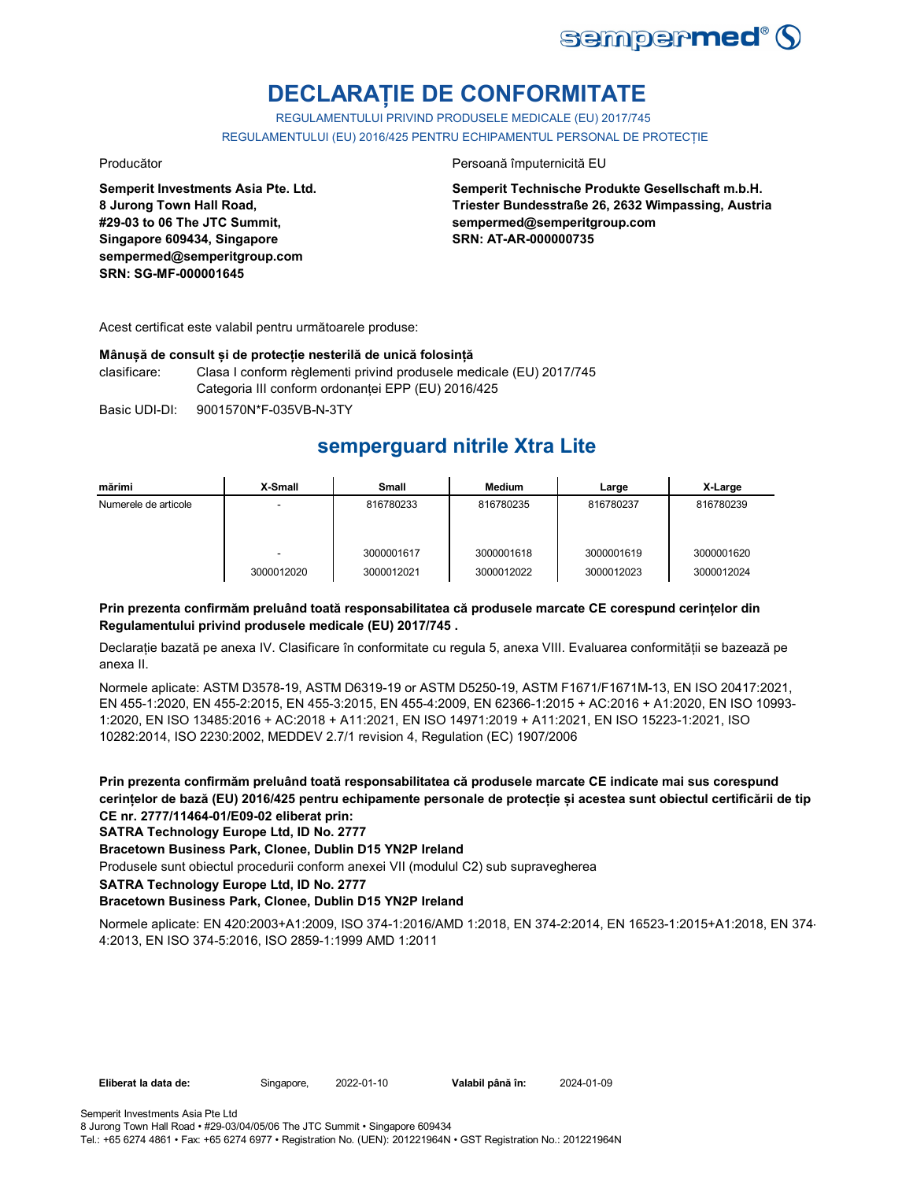

# **DECLARAȚIE DE CONFORMITATE**

REGULAMENTULUI PRIVIND PRODUSELE MEDICALE (EU) 2017/745 REGULAMENTULUI (EU) 2016/425 PENTRU ECHIPAMENTUL PERSONAL DE PROTECȚIE

**Semperit Investments Asia Pte. Ltd. 8 Jurong Town Hall Road, #29-03 to 06 The JTC Summit, Singapore 609434, Singapore sempermed@semperitgroup.com SRN: SG-MF-000001645**

#### Producător **Producător** Persoană împuternicită EU

**Semperit Technische Produkte Gesellschaft m.b.H. Triester Bundesstraße 26, 2632 Wimpassing, Austria sempermed@semperitgroup.com SRN: AT-AR-000000735**

Acest certificat este valabil pentru următoarele produse:

#### **Mânușă de consult și de protecție nesterilă de unică folosință**

clasificare: Clasa I conform règlementi privind produsele medicale (EU) 2017/745 Categoria III conform ordonanței EPP (EU) 2016/425

Basic UDI-DI: 9001570N\*F-035VB-N-3TY 9001570N\*F-035VB-N-3T

## **semperguard nitrile Xtra Lite**

| mărimi               | X-Small         | <b>Small</b>             | <b>Medium</b>            | Large                    | X-Large                  |
|----------------------|-----------------|--------------------------|--------------------------|--------------------------|--------------------------|
| Numerele de articole | -               | 816780233                | 816780235                | 816780237                | 816780239                |
|                      | -<br>3000012020 | 3000001617<br>3000012021 | 3000001618<br>3000012022 | 3000001619<br>3000012023 | 3000001620<br>3000012024 |

### **Prin prezenta confirmăm preluând toată responsabilitatea că produsele marcate CE corespund cerințelor din Regulamentului privind produsele medicale (EU) 2017/745 .**

Declarație bazată pe anexa IV. Clasificare în conformitate cu regula 5, anexa VIII. Evaluarea conformității se bazează pe anexa II.

Normele aplicate: ASTM D3578-19, ASTM D6319-19 or ASTM D5250-19, ASTM F1671/F1671M-13, EN ISO 20417:2021, EN 455-1:2020, EN 455-2:2015, EN 455-3:2015, EN 455-4:2009, EN 62366-1:2015 + AC:2016 + A1:2020, EN ISO 10993- 1:2020, EN ISO 13485:2016 + AC:2018 + A11:2021, EN ISO 14971:2019 + A11:2021, EN ISO 15223-1:2021, ISO 10282:2014, ISO 2230:2002, MEDDEV 2.7/1 revision 4, Regulation (EC) 1907/2006

**Prin prezenta confirmăm preluând toată responsabilitatea că produsele marcate CE indicate mai sus corespund cerințelor de bază (EU) 2016/425 pentru echipamente personale de protecție și acestea sunt obiectul certificării de tip CE nr. 2777/11464-01/E09-02 eliberat prin:**

**SATRA Technology Europe Ltd, ID No. 2777**

**Bracetown Business Park, Clonee, Dublin D15 YN2P Ireland**

Produsele sunt obiectul procedurii conform anexei VII (modulul C2) sub supravegherea

**SATRA Technology Europe Ltd, ID No. 2777**

#### **Bracetown Business Park, Clonee, Dublin D15 YN2P Ireland**

Normele aplicate: EN 420:2003+A1:2009, ISO 374-1:2016/AMD 1:2018, EN 374-2:2014, EN 16523-1:2015+A1:2018, EN 374- 4:2013, EN ISO 374-5:2016, ISO 2859-1:1999 AMD 1:2011

**Eliberat la data de:** Singapore, 2022-01-10

Tel.: +65 6274 4861 • Fax: +65 6274 6977 • Registration No. (UEN): 201221964N • GST Registration No.: 201221964N

Valabil până în: 2024-01-09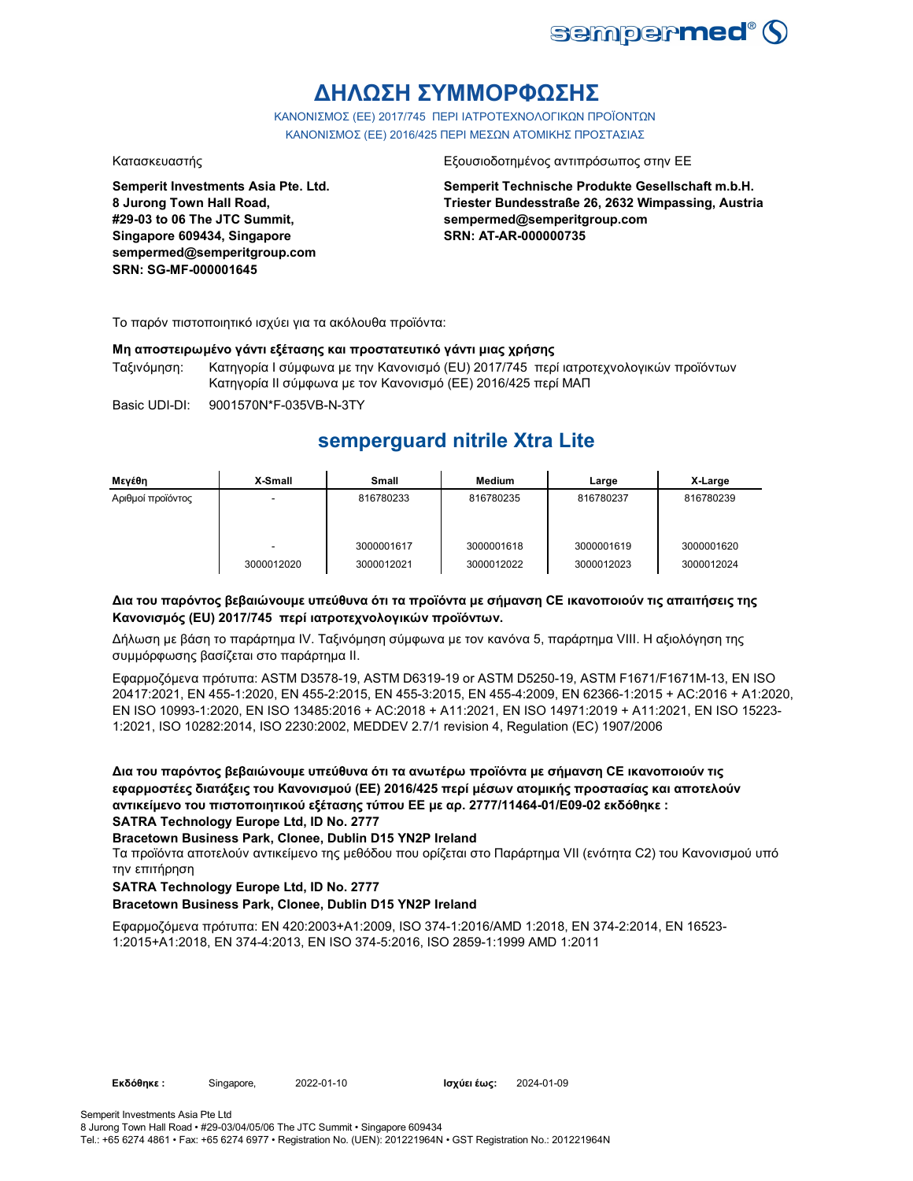

# **ΔΗΛΩΣΗ ΣΥΜΜΟΡΦΩΣΗΣ**

ΚΑΝΟΝΙΣΜΟΣ (EE) 2017/745 ΠΕΡΙ ΙΑΤΡΟΤΕΧΝΟΛΟΓΙΚΩΝ ΠΡΟΪΟΝΤΩΝ ΚΑΝΟΝΙΣΜΟΣ (ΕΕ) 2016/425 ΠΕΡΙ ΜΕΣΩΝ ΑΤΟΜΙΚΗΣ ΠΡΟΣΤΑΣΙΑΣ

**Semperit Investments Asia Pte. Ltd. 8 Jurong Town Hall Road, #29-03 to 06 The JTC Summit, Singapore 609434, Singapore sempermed@semperitgroup.com SRN: SG-MF-000001645**

#### Κατασκευαστής Εξουσιοδοτημένος αντιπρόσωπος στην ΕΕ

**Semperit Technische Produkte Gesellschaft m.b.H. Triester Bundesstraße 26, 2632 Wimpassing, Austria sempermed@semperitgroup.com SRN: AT-AR-000000735**

Το παρόν πιστοποιητικό ισχύει για τα ακόλουθα προϊόντα:

#### **Μη αποστειρωμένο γάντι εξέτασης και προστατευτικό γάντι μιας χρήσης**

Ταξινόμηση: Κατηγορία I σύμφωνα με την Κανονισμό (EU) 2017/745 περί ιατροτεχνολογικών προϊόντων Κατηγορία II σύμφωνα με τον Κανονισμό (ΕΕ) 2016/425 περί ΜΑΠ

Basic UDI-DI: 9001570N\*F-035VB-N-3TY

## **semperguard nitrile Xtra Lite**

| Μενέθη            | X-Small    | <b>Small</b>             | <b>Medium</b>            | Large                    | X-Large                  |
|-------------------|------------|--------------------------|--------------------------|--------------------------|--------------------------|
| Αριθμοί προϊόντος |            | 816780233                | 816780235                | 816780237                | 816780239                |
|                   | 3000012020 | 3000001617<br>3000012021 | 3000001618<br>3000012022 | 3000001619<br>3000012023 | 3000001620<br>3000012024 |

### **Δια του παρόντος βεβαιώνουμε υπεύθυνα ότι τα προϊόντα με σήμανση CE ικανοποιούν τις απαιτήσεις της Κανονισμός (EU) 2017/745 περί ιατροτεχνολογικών προϊόντων.**

Δήλωση με βάση το παράρτημα IV. Ταξινόμηση σύμφωνα με τον κανόνα 5, παράρτημα VIII. Η αξιολόγηση της συμμόρφωσης βασίζεται στο παράρτημα II.

Εφαρμοζόμενα πρότυπα: ASTM D3578-19, ASTM D6319-19 or ASTM D5250-19, ASTM F1671/F1671M-13, EN ISO 20417:2021, EN 455-1:2020, EN 455-2:2015, EN 455-3:2015, EN 455-4:2009, EN 62366-1:2015 + AC:2016 + A1:2020, EN ISO 10993-1:2020, EN ISO 13485:2016 + AC:2018 + A11:2021, EN ISO 14971:2019 + A11:2021, EN ISO 15223- 1:2021, ISO 10282:2014, ISO 2230:2002, MEDDEV 2.7/1 revision 4, Regulation (EC) 1907/2006

**Δια του παρόντος βεβαιώνουμε υπεύθυνα ότι τα ανωτέρω προϊόντα με σήμανση CE ικανοποιούν τις εφαρμοστέες διατάξεις του Κανονισμού (ΕΕ) 2016/425 περί μέσων ατομικής προστασίας και αποτελούν αντικείμενο του πιστοποιητικού εξέτασης τύπου ΕΕ με αρ. 2777/11464-01/E09-02 εκδόθηκε : SATRA Technology Europe Ltd, ID No. 2777**

### **Bracetown Business Park, Clonee, Dublin D15 YN2P Ireland**

Τα προϊόντα αποτελούν αντικείμενο της μεθόδου που ορίζεται στο Παράρτημα VII (ενότητα C2) του Κανονισμού υπό την επιτήρηση

### **SATRA Technology Europe Ltd, ID No. 2777**

#### **Bracetown Business Park, Clonee, Dublin D15 YN2P Ireland**

Εφαρμοζόμενα πρότυπα: EN 420:2003+A1:2009, ISO 374-1:2016/AMD 1:2018, EN 374-2:2014, EN 16523- 1:2015+A1:2018, EN 374-4:2013, EN ISO 374-5:2016, ISO 2859-1:1999 AMD 1:2011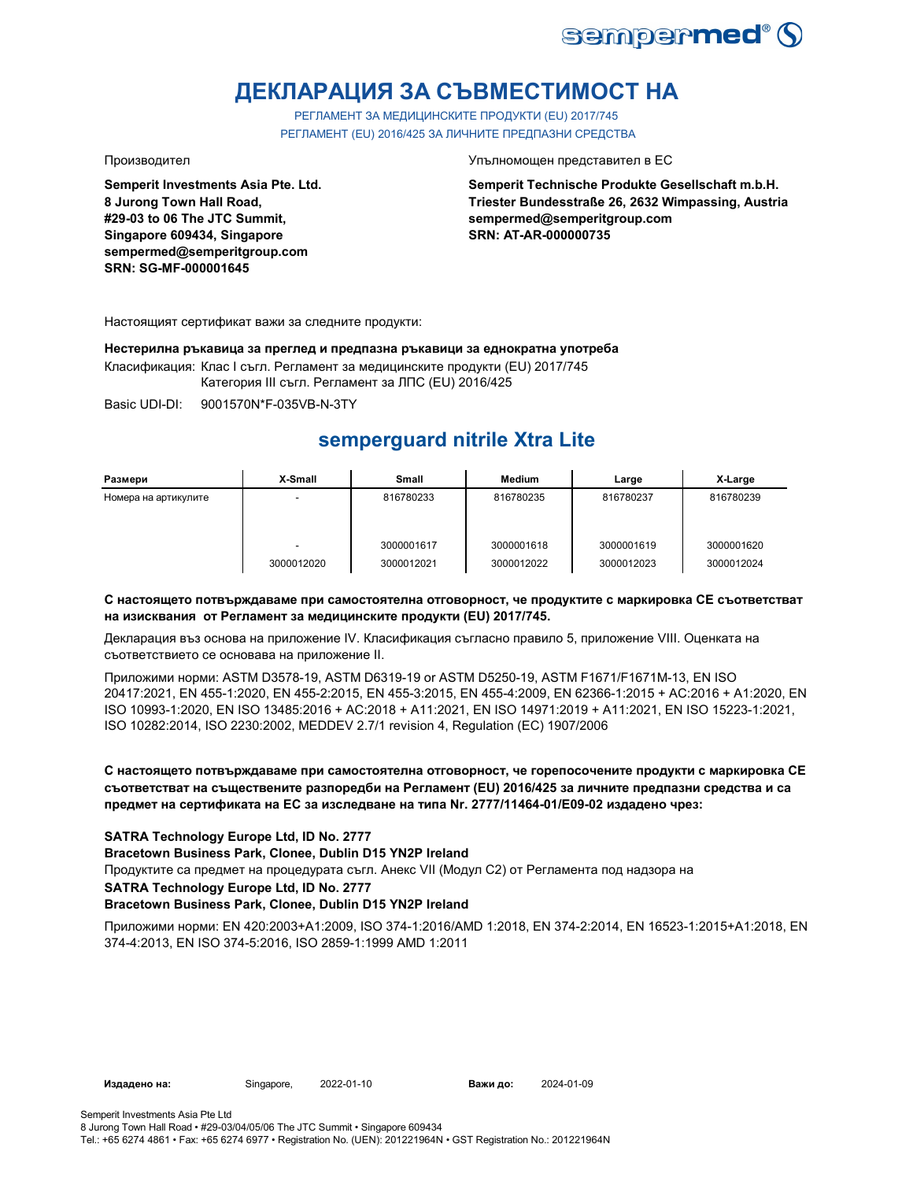

# **ДЕКЛАРАЦИЯ ЗА СЪВМЕСТИМОСТ НА**

РЕГЛАМЕНТ ЗА МЕДИЦИНСКИТЕ ПРОДУКТИ (EU) 2017/745 РЕГЛАМЕНТ (EU) 2016/425 ЗА ЛИЧНИТЕ ПРЕДПАЗНИ СРЕДСТВА

**Semperit Investments Asia Pte. Ltd. 8 Jurong Town Hall Road, #29-03 to 06 The JTC Summit, Singapore 609434, Singapore sempermed@semperitgroup.com SRN: SG-MF-000001645**

Производител Упълномощен представител в ЕС

**Semperit Technische Produkte Gesellschaft m.b.H. Triester Bundesstraße 26, 2632 Wimpassing, Austria sempermed@semperitgroup.com SRN: AT-AR-000000735**

Настоящият сертификат важи за следните продукти:

**Нестерилна ръкавица за преглед и предпазна ръкавици за еднократна употреба**

Класификация: Клас I съгл. Регламент за медицинските продукти (EU) 2017/745 Категория III съгл. Регламент за ЛПС (EU) 2016/425

Basic UDI-DI: 9001570N\*F-035VB-N-3TY 9001570N\*F-035VB-N

# **semperguard nitrile Xtra Lite**

| Размери              | X-Small    | Small      | Medium     | Large      | X-Large    |
|----------------------|------------|------------|------------|------------|------------|
| Номера на артикулите | -          | 816780233  | 816780235  | 816780237  | 816780239  |
|                      |            | 3000001617 | 3000001618 | 3000001619 | 3000001620 |
|                      | 3000012020 | 3000012021 | 3000012022 | 3000012023 | 3000012024 |

### **С настоящето потвърждаваме при самостоятелна отговорност, че продуктите с маркировка СЕ съответстват на изисквания от Регламент за медицинските продукти (EU) 2017/745.**

Декларация въз основа на приложение IV. Класификация съгласно правило 5, приложение VIII. Оценката на съответствието се основава на приложение II.

Приложими норми: ASTM D3578-19, ASTM D6319-19 or ASTM D5250-19, ASTM F1671/F1671M-13, EN ISO 20417:2021, EN 455-1:2020, EN 455-2:2015, EN 455-3:2015, EN 455-4:2009, EN 62366-1:2015 + AC:2016 + A1:2020, EN ISO 10993-1:2020, EN ISO 13485:2016 + AC:2018 + A11:2021, EN ISO 14971:2019 + A11:2021, EN ISO 15223-1:2021, ISO 10282:2014, ISO 2230:2002, MEDDEV 2.7/1 revision 4, Regulation (EC) 1907/2006

**С настоящето потвърждаваме при самостоятелна отговорност, че горепосочените продукти с маркировка СЕ съответстват на съществените разпоредби на Регламент (EU) 2016/425 за личните предпазни средства и са предмет на сертификата на ЕС за изследване на типа Nr. 2777/11464-01/E09-02 издадено чрез:**

### **SATRA Technology Europe Ltd, ID No. 2777**

**Bracetown Business Park, Clonee, Dublin D15 YN2P Ireland**

Продуктите са предмет на процедурата съгл. Анекс VII (Модул С2) от Регламента под надзора на

**SATRA Technology Europe Ltd, ID No. 2777**

### **Bracetown Business Park, Clonee, Dublin D15 YN2P Ireland**

Приложими норми: EN 420:2003+A1:2009, ISO 374-1:2016/AMD 1:2018, EN 374-2:2014, EN 16523-1:2015+A1:2018, EN 374-4:2013, EN ISO 374-5:2016, ISO 2859-1:1999 AMD 1:2011

**Издадено на:** Singapore, **Важи до:**

Tel.: +65 6274 4861 • Fax: +65 6274 6977 • Registration No. (UEN): 201221964N • GST Registration No.: 201221964N